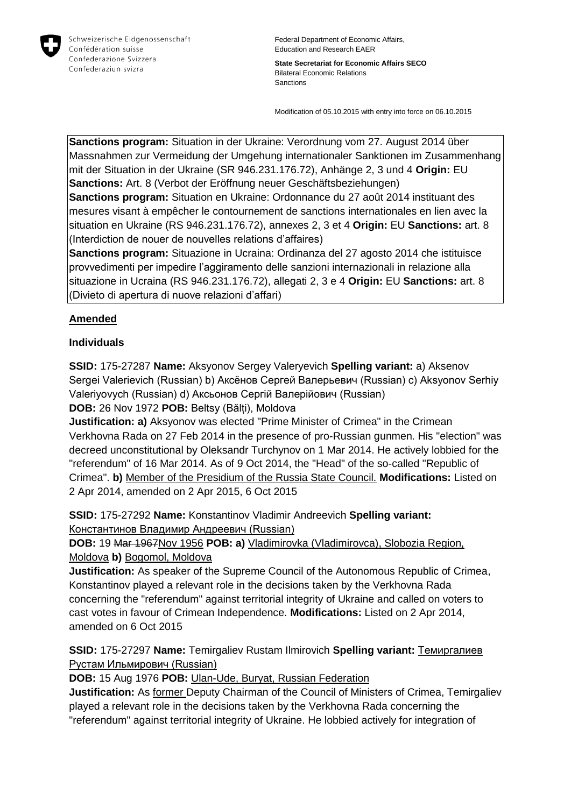

Federal Department of Economic Affairs, Education and Research EAER

**State Secretariat for Economic Affairs SECO** Bilateral Economic Relations Sanctions

Modification of 05.10.2015 with entry into force on 06.10.2015

**Sanctions program:** Situation in der Ukraine: Verordnung vom 27. August 2014 über Massnahmen zur Vermeidung der Umgehung internationaler Sanktionen im Zusammenhang mit der Situation in der Ukraine (SR 946.231.176.72), Anhänge 2, 3 und 4 **Origin:** EU **Sanctions:** Art. 8 (Verbot der Eröffnung neuer Geschäftsbeziehungen)

**Sanctions program:** Situation en Ukraine: Ordonnance du 27 août 2014 instituant des mesures visant à empêcher le contournement de sanctions internationales en lien avec la situation en Ukraine (RS 946.231.176.72), annexes 2, 3 et 4 **Origin:** EU **Sanctions:** art. 8 (Interdiction de nouer de nouvelles relations d'affaires)

**Sanctions program:** Situazione in Ucraina: Ordinanza del 27 agosto 2014 che istituisce provvedimenti per impedire l'aggiramento delle sanzioni internazionali in relazione alla situazione in Ucraina (RS 946.231.176.72), allegati 2, 3 e 4 **Origin:** EU **Sanctions:** art. 8 (Divieto di apertura di nuove relazioni d'affari)

### **Amended**

#### **Individuals**

**SSID:** 175-27287 **Name:** Aksyonov Sergey Valeryevich **Spelling variant:** a) Aksenov Sergei Valerievich (Russian) b) Аксёнов Сергей Валерьевич (Russian) c) Aksyonov Serhiy Valeriyovych (Russian) d) Аксьонов Сергій Валерійович (Russian) **DOB:** 26 Nov 1972 **POB:** Beltsy (Bălți), Moldova

**Justification: a)** Aksyonov was elected "Prime Minister of Crimea" in the Crimean Verkhovna Rada on 27 Feb 2014 in the presence of pro-Russian gunmen. His "election" was decreed unconstitutional by Oleksandr Turchynov on 1 Mar 2014. He actively lobbied for the "referendum" of 16 Mar 2014. As of 9 Oct 2014, the "Head" of the so-called "Republic of Crimea". **b)** Member of the Presidium of the Russia State Council. **Modifications:** Listed on 2 Apr 2014, amended on 2 Apr 2015, 6 Oct 2015

**SSID:** 175-27292 **Name:** Konstantinov Vladimir Andreevich **Spelling variant:**  Константинов Владимир Андреевич (Russian)

**DOB:** 19 Mar 1967Nov 1956 **POB: a)** Vladimirovka (Vladimirovca), Slobozia Region, Moldova **b)** Bogomol, Moldova

**Justification:** As speaker of the Supreme Council of the Autonomous Republic of Crimea, Konstantinov played a relevant role in the decisions taken by the Verkhovna Rada concerning the "referendum" against territorial integrity of Ukraine and called on voters to cast votes in favour of Crimean Independence. **Modifications:** Listed on 2 Apr 2014, amended on 6 Oct 2015

**SSID:** 175-27297 **Name:** Temirgaliev Rustam Ilmirovich **Spelling variant:** Темиргалиев Рустам Ильмирович (Russian)

**DOB:** 15 Aug 1976 **POB:** Ulan-Ude, Buryat, Russian Federation

**Justification:** As former Deputy Chairman of the Council of Ministers of Crimea, Temirgaliev played a relevant role in the decisions taken by the Verkhovna Rada concerning the "referendum" against territorial integrity of Ukraine. He lobbied actively for integration of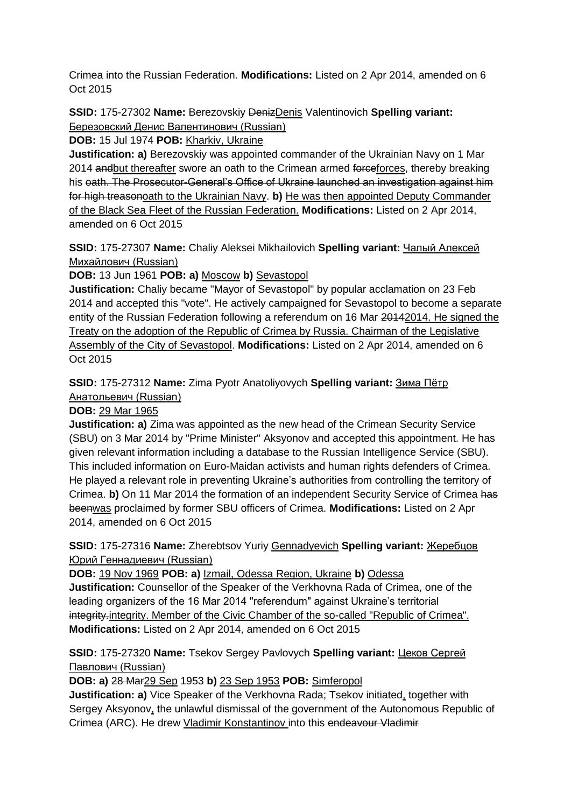Crimea into the Russian Federation. **Modifications:** Listed on 2 Apr 2014, amended on 6 Oct 2015

### **SSID:** 175-27302 **Name:** Berezovskiy DenizDenis Valentinovich **Spelling variant:**  Березовский Денис Валентинович (Russian)

**DOB:** 15 Jul 1974 **POB:** Kharkiv, Ukraine

**Justification: a)** Berezovskiy was appointed commander of the Ukrainian Navy on 1 Mar 2014 and but thereafter swore an oath to the Crimean armed forceforces, thereby breaking his oath. The Prosecutor-General's Office of Ukraine launched an investigation against him for high treasonoath to the Ukrainian Navy. **b)** He was then appointed Deputy Commander of the Black Sea Fleet of the Russian Federation. **Modifications:** Listed on 2 Apr 2014, amended on 6 Oct 2015

**SSID:** 175-27307 **Name:** Chaliy Aleksei Mikhailovich **Spelling variant:** Чалый Алексей Михайлович (Russian)

**DOB:** 13 Jun 1961 **POB: a)** Moscow **b)** Sevastopol

**Justification:** Chaliy became "Mayor of Sevastopol" by popular acclamation on 23 Feb 2014 and accepted this "vote". He actively campaigned for Sevastopol to become a separate entity of the Russian Federation following a referendum on 16 Mar 20142014. He signed the Treaty on the adoption of the Republic of Crimea by Russia. Chairman of the Legislative Assembly of the City of Sevastopol. **Modifications:** Listed on 2 Apr 2014, amended on 6 Oct 2015

**SSID:** 175-27312 **Name:** Zima Pyotr Anatoliyovych **Spelling variant:** Зима Пётр Анатольевич (Russian)

**DOB:** 29 Mar 1965

**Justification: a)** Zima was appointed as the new head of the Crimean Security Service (SBU) on 3 Mar 2014 by "Prime Minister" Aksyonov and accepted this appointment. He has given relevant information including a database to the Russian Intelligence Service (SBU). This included information on Euro-Maidan activists and human rights defenders of Crimea. He played a relevant role in preventing Ukraine's authorities from controlling the territory of Crimea. **b)** On 11 Mar 2014 the formation of an independent Security Service of Crimea has beenwas proclaimed by former SBU officers of Crimea. **Modifications:** Listed on 2 Apr 2014, amended on 6 Oct 2015

**SSID:** 175-27316 **Name:** Zherebtsov Yuriy Gennadyevich **Spelling variant:** Жеребцов Юрий Геннадиевич (Russian)

**DOB:** 19 Nov 1969 **POB: a)** Izmail, Odessa Region, Ukraine **b)** Odessa **Justification:** Counsellor of the Speaker of the Verkhovna Rada of Crimea, one of the leading organizers of the 16 Mar 2014 "referendum" against Ukraine's territorial integrity.integrity. Member of the Civic Chamber of the so-called "Republic of Crimea". **Modifications:** Listed on 2 Apr 2014, amended on 6 Oct 2015

**SSID:** 175-27320 **Name:** Tsekov Sergey Pavlovych **Spelling variant:** Цеков Сергей Павлович (Russian)

**DOB: a)** 28 Mar29 Sep 1953 **b)** 23 Sep 1953 **POB:** Simferopol

**Justification: a)** Vice Speaker of the Verkhovna Rada; Tsekov initiated, together with Sergey Aksyonov, the unlawful dismissal of the government of the Autonomous Republic of Crimea (ARC). He drew Vladimir Konstantinov into this endeavour Vladimir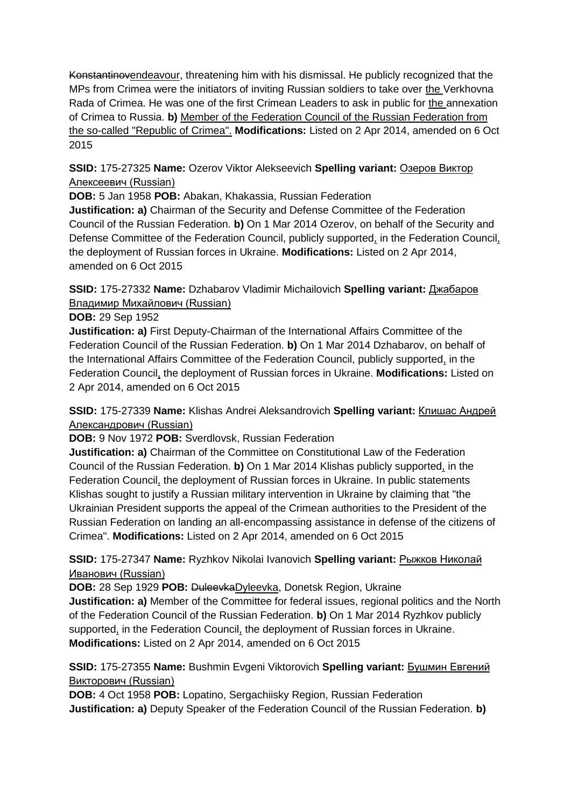Konstantinovendeavour, threatening him with his dismissal. He publicly recognized that the MPs from Crimea were the initiators of inviting Russian soldiers to take over the Verkhovna Rada of Crimea. He was one of the first Crimean Leaders to ask in public for the annexation of Crimea to Russia. **b)** Member of the Federation Council of the Russian Federation from the so-called "Republic of Crimea". **Modifications:** Listed on 2 Apr 2014, amended on 6 Oct 2015

**SSID:** 175-27325 **Name:** Ozerov Viktor Alekseevich **Spelling variant:** Озеров Виктор Алексеевич (Russian)

**DOB:** 5 Jan 1958 **POB:** Abakan, Khakassia, Russian Federation

**Justification: a)** Chairman of the Security and Defense Committee of the Federation Council of the Russian Federation. **b)** On 1 Mar 2014 Ozerov, on behalf of the Security and Defense Committee of the Federation Council, publicly supported, in the Federation Council, the deployment of Russian forces in Ukraine. **Modifications:** Listed on 2 Apr 2014, amended on 6 Oct 2015

### **SSID:** 175-27332 **Name:** Dzhabarov Vladimir Michailovich **Spelling variant:** Джабаров Владимир Михайлович (Russian)

#### **DOB:** 29 Sep 1952

**Justification: a)** First Deputy-Chairman of the International Affairs Committee of the Federation Council of the Russian Federation. **b)** On 1 Mar 2014 Dzhabarov, on behalf of the International Affairs Committee of the Federation Council, publicly supported, in the Federation Council, the deployment of Russian forces in Ukraine. **Modifications:** Listed on 2 Apr 2014, amended on 6 Oct 2015

# **SSID:** 175-27339 **Name:** Klishas Andrei Aleksandrovich **Spelling variant:** Клишас Андрей Александрович (Russian)

#### **DOB:** 9 Nov 1972 **POB:** Sverdlovsk, Russian Federation

**Justification: a)** Chairman of the Committee on Constitutional Law of the Federation Council of the Russian Federation. **b)** On 1 Mar 2014 Klishas publicly supported, in the Federation Council, the deployment of Russian forces in Ukraine. In public statements Klishas sought to justify a Russian military intervention in Ukraine by claiming that "the Ukrainian President supports the appeal of the Crimean authorities to the President of the Russian Federation on landing an all-encompassing assistance in defense of the citizens of Crimea". **Modifications:** Listed on 2 Apr 2014, amended on 6 Oct 2015

### **SSID:** 175-27347 **Name:** Ryzhkov Nikolai Ivanovich **Spelling variant:** Рыжков Николай Иванович (Russian)

**DOB:** 28 Sep 1929 **POB:** DuleevkaDyleevka, Donetsk Region, Ukraine **Justification: a)** Member of the Committee for federal issues, regional politics and the North of the Federation Council of the Russian Federation. **b)** On 1 Mar 2014 Ryzhkov publicly supported, in the Federation Council, the deployment of Russian forces in Ukraine. **Modifications:** Listed on 2 Apr 2014, amended on 6 Oct 2015

### **SSID:** 175-27355 **Name:** Bushmin Evgeni Viktorovich **Spelling variant:** Бушмин Евгений Викторович (Russian)

**DOB:** 4 Oct 1958 **POB:** Lopatino, Sergachiisky Region, Russian Federation **Justification: a)** Deputy Speaker of the Federation Council of the Russian Federation. **b)**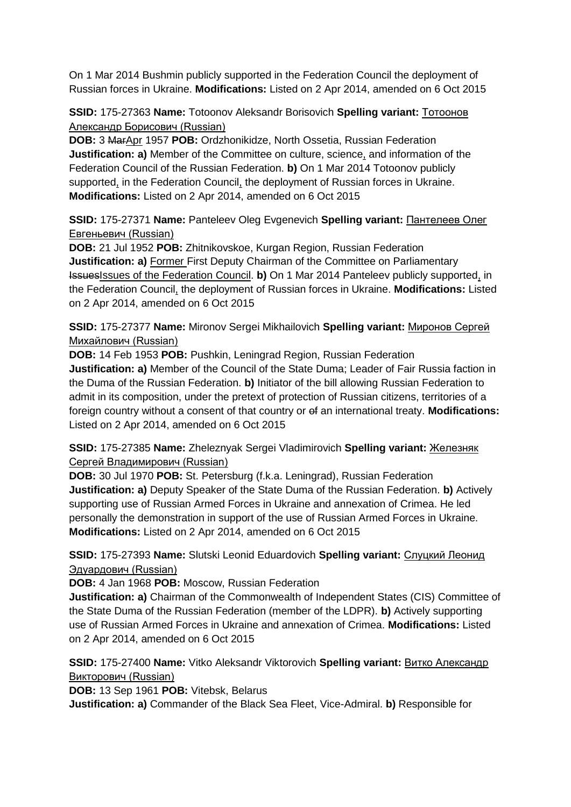On 1 Mar 2014 Bushmin publicly supported in the Federation Council the deployment of Russian forces in Ukraine. **Modifications:** Listed on 2 Apr 2014, amended on 6 Oct 2015

**SSID:** 175-27363 **Name:** Totoonov Aleksandr Borisovich **Spelling variant:** Тотоонов Александр Борисович (Russian)

**DOB:** 3 MarApr 1957 **POB:** Ordzhonikidze, North Ossetia, Russian Federation **Justification: a)** Member of the Committee on culture, science, and information of the Federation Council of the Russian Federation. **b)** On 1 Mar 2014 Totoonov publicly supported, in the Federation Council, the deployment of Russian forces in Ukraine. **Modifications:** Listed on 2 Apr 2014, amended on 6 Oct 2015

### **SSID:** 175-27371 **Name:** Panteleev Oleg Evgenevich **Spelling variant:** Пантелеев Олег Евгеньевич (Russian)

**DOB:** 21 Jul 1952 **POB:** Zhitnikovskoe, Kurgan Region, Russian Federation **Justification: a) <b>Former First Deputy Chairman of the Committee on Parliamentary** IssuesIssues of the Federation Council. **b)** On 1 Mar 2014 Panteleev publicly supported, in the Federation Council, the deployment of Russian forces in Ukraine. **Modifications:** Listed on 2 Apr 2014, amended on 6 Oct 2015

**SSID:** 175-27377 **Name:** Mironov Sergei Mikhailovich **Spelling variant:** Миронов Сергей Михайлович (Russian)

**DOB:** 14 Feb 1953 **POB:** Pushkin, Leningrad Region, Russian Federation **Justification: a)** Member of the Council of the State Duma; Leader of Fair Russia faction in the Duma of the Russian Federation. **b)** Initiator of the bill allowing Russian Federation to admit in its composition, under the pretext of protection of Russian citizens, territories of a foreign country without a consent of that country or of an international treaty. **Modifications:**  Listed on 2 Apr 2014, amended on 6 Oct 2015

**SSID:** 175-27385 **Name:** Zheleznyak Sergei Vladimirovich **Spelling variant:** Железняк Сергей Владимирович (Russian)

**DOB:** 30 Jul 1970 **POB:** St. Petersburg (f.k.a. Leningrad), Russian Federation **Justification: a)** Deputy Speaker of the State Duma of the Russian Federation. **b)** Actively supporting use of Russian Armed Forces in Ukraine and annexation of Crimea. He led personally the demonstration in support of the use of Russian Armed Forces in Ukraine. **Modifications:** Listed on 2 Apr 2014, amended on 6 Oct 2015

### **SSID:** 175-27393 **Name:** Slutski Leonid Eduardovich **Spelling variant:** Слуцкий Леонид Эдуардович (Russian)

**DOB:** 4 Jan 1968 **POB:** Moscow, Russian Federation

**Justification: a)** Chairman of the Commonwealth of Independent States (CIS) Committee of the State Duma of the Russian Federation (member of the LDPR). **b)** Actively supporting use of Russian Armed Forces in Ukraine and annexation of Crimea. **Modifications:** Listed on 2 Apr 2014, amended on 6 Oct 2015

**SSID:** 175-27400 **Name:** Vitko Aleksandr Viktorovich **Spelling variant:** Витко Александр Викторович (Russian)

**DOB:** 13 Sep 1961 **POB:** Vitebsk, Belarus

**Justification: a)** Commander of the Black Sea Fleet, Vice-Admiral. **b)** Responsible for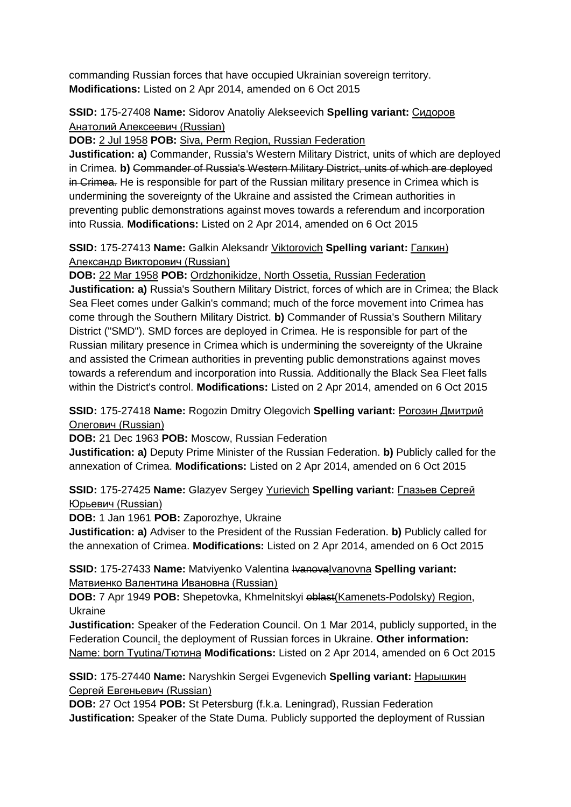commanding Russian forces that have occupied Ukrainian sovereign territory. **Modifications:** Listed on 2 Apr 2014, amended on 6 Oct 2015

# **SSID:** 175-27408 **Name:** Sidorov Anatoliy Alekseevich **Spelling variant:** Сидоров Анатолий Алексеевич (Russian)

### **DOB:** 2 Jul 1958 **POB:** Siva, Perm Region, Russian Federation

**Justification: a)** Commander, Russia's Western Military District, units of which are deployed in Crimea. **b)** Commander of Russia's Western Military District, units of which are deployed in Crimea. He is responsible for part of the Russian military presence in Crimea which is undermining the sovereignty of the Ukraine and assisted the Crimean authorities in preventing public demonstrations against moves towards a referendum and incorporation into Russia. **Modifications:** Listed on 2 Apr 2014, amended on 6 Oct 2015

### **SSID:** 175-27413 **Name:** Galkin Aleksandr Viktorovich **Spelling variant:** Галкин) Александр Викторович (Russian)

**DOB:** 22 Mar 1958 **POB:** Ordzhonikidze, North Ossetia, Russian Federation

**Justification: a)** Russia's Southern Military District, forces of which are in Crimea; the Black Sea Fleet comes under Galkin's command; much of the force movement into Crimea has come through the Southern Military District. **b)** Commander of Russia's Southern Military District ("SMD"). SMD forces are deployed in Crimea. He is responsible for part of the Russian military presence in Crimea which is undermining the sovereignty of the Ukraine and assisted the Crimean authorities in preventing public demonstrations against moves towards a referendum and incorporation into Russia. Additionally the Black Sea Fleet falls within the District's control. **Modifications:** Listed on 2 Apr 2014, amended on 6 Oct 2015

# **SSID:** 175-27418 **Name:** Rogozin Dmitry Olegovich **Spelling variant:** Рогозин Дмитрий Олегович (Russian)

**DOB:** 21 Dec 1963 **POB:** Moscow, Russian Federation

**Justification: a)** Deputy Prime Minister of the Russian Federation. **b)** Publicly called for the annexation of Crimea. **Modifications:** Listed on 2 Apr 2014, amended on 6 Oct 2015

### **SSID:** 175-27425 **Name:** Glazyev Sergey Yurievich **Spelling variant:** Глазьев Сергей Юрьевич (Russian)

**DOB:** 1 Jan 1961 **POB:** Zaporozhye, Ukraine

**Justification: a)** Adviser to the President of the Russian Federation. **b)** Publicly called for the annexation of Crimea. **Modifications:** Listed on 2 Apr 2014, amended on 6 Oct 2015

# **SSID:** 175-27433 Name: Matviyenko Valentina IvanovaIvanovna Spelling variant: Матвиенко Валентина Ивановна (Russian)

**DOB:** 7 Apr 1949 **POB:** Shepetovka, Khmelnitskyi oblast(Kamenets-Podolsky) Region, Ukraine

**Justification:** Speaker of the Federation Council. On 1 Mar 2014, publicly supported, in the Federation Council, the deployment of Russian forces in Ukraine. **Other information:** Name: born Tyutina/Тютина **Modifications:** Listed on 2 Apr 2014, amended on 6 Oct 2015

# **SSID:** 175-27440 **Name:** Naryshkin Sergei Evgenevich **Spelling variant:** Нарышкин Сергей Евгеньевич (Russian)

**DOB:** 27 Oct 1954 **POB:** St Petersburg (f.k.a. Leningrad), Russian Federation **Justification:** Speaker of the State Duma. Publicly supported the deployment of Russian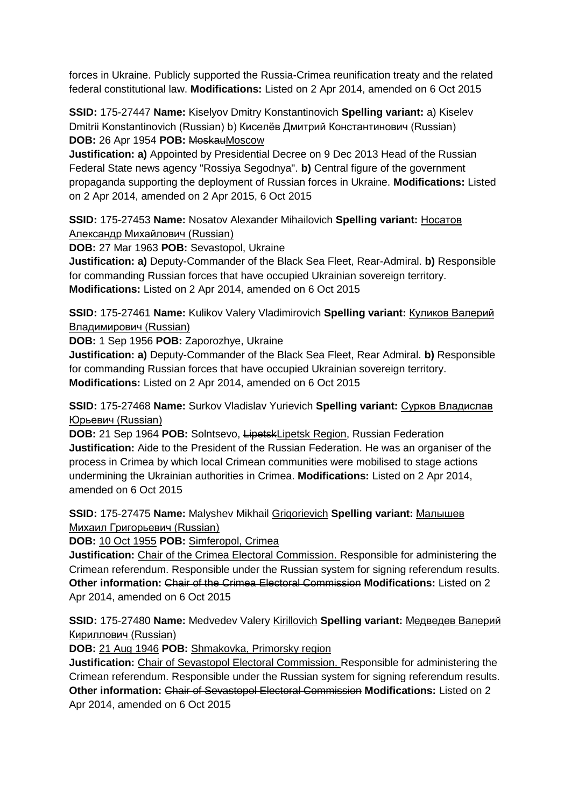forces in Ukraine. Publicly supported the Russia-Crimea reunification treaty and the related federal constitutional law. **Modifications:** Listed on 2 Apr 2014, amended on 6 Oct 2015

**SSID:** 175-27447 **Name:** Kiselyov Dmitry Konstantinovich **Spelling variant:** a) Kiselev Dmitrii Konstantinovich (Russian) b) Киселёв Дмитрий Константинович (Russian) **DOB:** 26 Apr 1954 **POB:** MoskauMoscow

**Justification: a)** Appointed by Presidential Decree on 9 Dec 2013 Head of the Russian Federal State news agency "Rossiya Segodnya". **b)** Central figure of the government propaganda supporting the deployment of Russian forces in Ukraine. **Modifications:** Listed on 2 Apr 2014, amended on 2 Apr 2015, 6 Oct 2015

**SSID:** 175-27453 **Name:** Nosatov Alexander Mihailovich **Spelling variant:** Носатов Александр Михайлович (Russian)

**DOB:** 27 Mar 1963 **POB:** Sevastopol, Ukraine

**Justification: a)** Deputy-Commander of the Black Sea Fleet, Rear-Admiral. **b)** Responsible for commanding Russian forces that have occupied Ukrainian sovereign territory. **Modifications:** Listed on 2 Apr 2014, amended on 6 Oct 2015

**SSID:** 175-27461 **Name:** Kulikov Valery Vladimirovich **Spelling variant:** Куликов Валерий Владимирович (Russian)

**DOB:** 1 Sep 1956 **POB:** Zaporozhye, Ukraine

**Justification: a)** Deputy-Commander of the Black Sea Fleet, Rear Admiral. **b)** Responsible for commanding Russian forces that have occupied Ukrainian sovereign territory. **Modifications:** Listed on 2 Apr 2014, amended on 6 Oct 2015

**SSID:** 175-27468 **Name:** Surkov Vladislav Yurievich **Spelling variant:** Сурков Владислав Юрьевич (Russian)

**DOB:** 21 Sep 1964 **POB:** Solntsevo, LipetskLipetsk Region, Russian Federation **Justification:** Aide to the President of the Russian Federation. He was an organiser of the process in Crimea by which local Crimean communities were mobilised to stage actions undermining the Ukrainian authorities in Crimea. **Modifications:** Listed on 2 Apr 2014, amended on 6 Oct 2015

**SSID:** 175-27475 **Name:** Malyshev Mikhail Grigorievich **Spelling variant:** Малышев Михаил Григорьевич (Russian)

**DOB:** 10 Oct 1955 **POB:** Simferopol, Crimea

**Justification:** Chair of the Crimea Electoral Commission. Responsible for administering the Crimean referendum. Responsible under the Russian system for signing referendum results. **Other information:** Chair of the Crimea Electoral Commission **Modifications:** Listed on 2 Apr 2014, amended on 6 Oct 2015

**SSID:** 175-27480 **Name:** Medvedev Valery Kirillovich **Spelling variant:** Медведев Валерий Кириллович (Russian)

**DOB:** 21 Aug 1946 **POB:** Shmakovka, Primorsky region

**Justification:** Chair of Sevastopol Electoral Commission. Responsible for administering the Crimean referendum. Responsible under the Russian system for signing referendum results. **Other information:** Chair of Sevastopol Electoral Commission **Modifications:** Listed on 2 Apr 2014, amended on 6 Oct 2015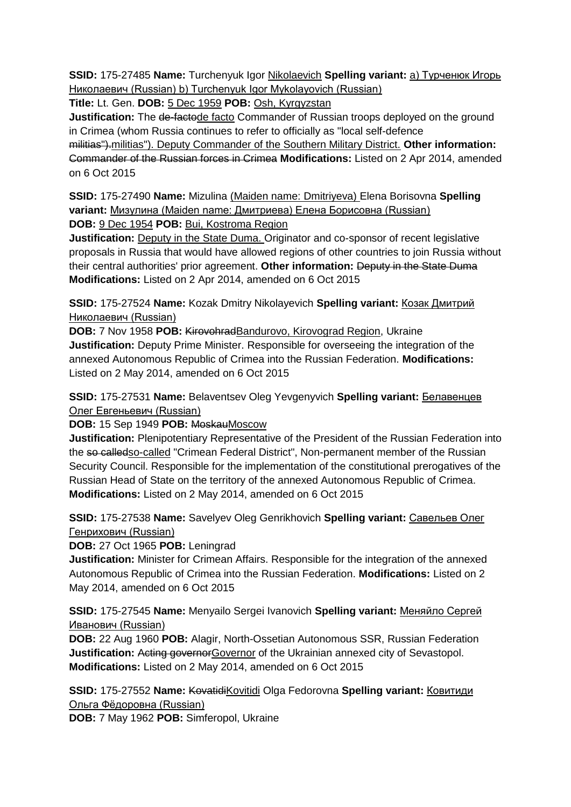**SSID:** 175-27485 **Name:** Turchenyuk Igor Nikolaevich **Spelling variant:** a) Турченюк Игорь Николаевич (Russian) b) Turchenyuk Igor Mykolayovich (Russian)

**Title:** Lt. Gen. **DOB:** 5 Dec 1959 **POB:** Osh, Kyrgyzstan

**Justification:** The de-factode facto Commander of Russian troops deployed on the ground in Crimea (whom Russia continues to refer to officially as "local self-defence

militias").militias"). Deputy Commander of the Southern Military District. **Other information:** Commander of the Russian forces in Crimea **Modifications:** Listed on 2 Apr 2014, amended on 6 Oct 2015

**SSID:** 175-27490 **Name:** Mizulina (Maiden name: Dmitriyeva) Elena Borisovna **Spelling variant:** Мизулина (Maiden name: Дмитриева) Елена Борисовна (Russian) **DOB:** 9 Dec 1954 **POB:** Bui, Kostroma Region

**Justification:** Deputy in the State Duma. Originator and co-sponsor of recent legislative proposals in Russia that would have allowed regions of other countries to join Russia without their central authorities' prior agreement. **Other information:** Deputy in the State Duma **Modifications:** Listed on 2 Apr 2014, amended on 6 Oct 2015

**SSID:** 175-27524 **Name:** Kozak Dmitry Nikolayevich **Spelling variant:** Козак Дмитрий Николаевич (Russian)

**DOB:** 7 Nov 1958 **POB:** KirovohradBandurovo, Kirovograd Region, Ukraine **Justification:** Deputy Prime Minister. Responsible for overseeing the integration of the annexed Autonomous Republic of Crimea into the Russian Federation. **Modifications:**  Listed on 2 May 2014, amended on 6 Oct 2015

**SSID:** 175-27531 **Name:** Belaventsev Oleg Yevgenyvich **Spelling variant:** Белавенцев Олег Евгеньевич (Russian)

**DOB:** 15 Sep 1949 **POB:** MoskauMoscow

**Justification:** Plenipotentiary Representative of the President of the Russian Federation into the so calledso-called "Crimean Federal District", Non-permanent member of the Russian Security Council. Responsible for the implementation of the constitutional prerogatives of the Russian Head of State on the territory of the annexed Autonomous Republic of Crimea. **Modifications:** Listed on 2 May 2014, amended on 6 Oct 2015

**SSID:** 175-27538 **Name:** Savelyev Oleg Genrikhovich **Spelling variant:** Савельев Олег Генрихович (Russian)

**DOB:** 27 Oct 1965 **POB:** Leningrad

**Justification:** Minister for Crimean Affairs. Responsible for the integration of the annexed Autonomous Republic of Crimea into the Russian Federation. **Modifications:** Listed on 2 May 2014, amended on 6 Oct 2015

**SSID:** 175-27545 **Name:** Menyailo Sergei Ivanovich **Spelling variant:** Меняйло Сергей Иванович (Russian)

**DOB:** 22 Aug 1960 **POB:** Alagir, North-Ossetian Autonomous SSR, Russian Federation **Justification:** Acting governorGovernor of the Ukrainian annexed city of Sevastopol. **Modifications:** Listed on 2 May 2014, amended on 6 Oct 2015

**SSID:** 175-27552 **Name:** KovatidiKovitidi Olga Fedorovna **Spelling variant:** Ковитиди Ольга Фёдоровна (Russian)

**DOB:** 7 May 1962 **POB:** Simferopol, Ukraine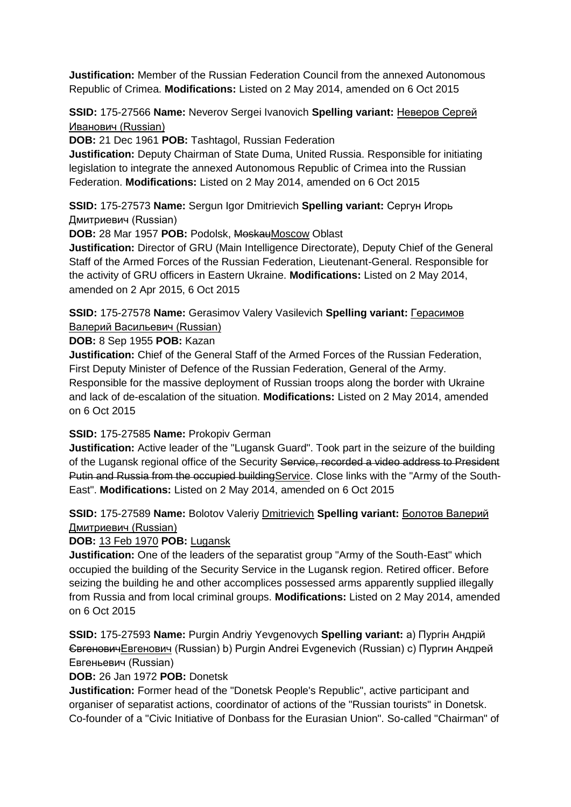**Justification:** Member of the Russian Federation Council from the annexed Autonomous Republic of Crimea. **Modifications:** Listed on 2 May 2014, amended on 6 Oct 2015

**SSID:** 175-27566 **Name:** Neverov Sergei Ivanovich **Spelling variant:** Неверов Сергей Иванович (Russian)

**DOB:** 21 Dec 1961 **POB:** Tashtagol, Russian Federation

**Justification:** Deputy Chairman of State Duma, United Russia. Responsible for initiating legislation to integrate the annexed Autonomous Republic of Crimea into the Russian Federation. **Modifications:** Listed on 2 May 2014, amended on 6 Oct 2015

**SSID:** 175-27573 **Name:** Sergun Igor Dmitrievich **Spelling variant:** Сергун Игорь Дмитриевич (Russian)

**DOB:** 28 Mar 1957 **POB:** Podolsk, MoskauMoscow Oblast

**Justification:** Director of GRU (Main Intelligence Directorate), Deputy Chief of the General Staff of the Armed Forces of the Russian Federation, Lieutenant-General. Responsible for the activity of GRU officers in Eastern Ukraine. **Modifications:** Listed on 2 May 2014, amended on 2 Apr 2015, 6 Oct 2015

**SSID:** 175-27578 **Name:** Gerasimov Valery Vasilevich **Spelling variant:** Герасимов Валерий Васильевич (Russian)

**DOB:** 8 Sep 1955 **POB:** Kazan

**Justification:** Chief of the General Staff of the Armed Forces of the Russian Federation, First Deputy Minister of Defence of the Russian Federation, General of the Army. Responsible for the massive deployment of Russian troops along the border with Ukraine and lack of de-escalation of the situation. **Modifications:** Listed on 2 May 2014, amended on 6 Oct 2015

#### **SSID:** 175-27585 **Name:** Prokopiv German

**Justification:** Active leader of the "Lugansk Guard". Took part in the seizure of the building of the Lugansk regional office of the Security Service, recorded a video address to President Putin and Russia from the occupied buildingService. Close links with the "Army of the South-East". **Modifications:** Listed on 2 May 2014, amended on 6 Oct 2015

### **SSID:** 175-27589 **Name:** Bolotov Valeriy Dmitrievich **Spelling variant:** Болотов Валерий Дмитриевич (Russian)

#### **DOB:** 13 Feb 1970 **POB:** Lugansk

**Justification:** One of the leaders of the separatist group "Army of the South-East" which occupied the building of the Security Service in the Lugansk region. Retired officer. Before seizing the building he and other accomplices possessed arms apparently supplied illegally from Russia and from local criminal groups. **Modifications:** Listed on 2 May 2014, amended on 6 Oct 2015

**SSID:** 175-27593 **Name:** Purgin Andriy Yevgenovych **Spelling variant:** a) Пургін Андрій ЄвгеновичEвгенович (Russian) b) Purgin Andrei Evgenevich (Russian) c) Пургин Андрей Евгеньевич (Russian)

**DOB:** 26 Jan 1972 **POB:** Donetsk

**Justification:** Former head of the "Donetsk People's Republic", active participant and organiser of separatist actions, coordinator of actions of the "Russian tourists" in Donetsk. Co-founder of a "Civic Initiative of Donbass for the Eurasian Union". So-called "Chairman" of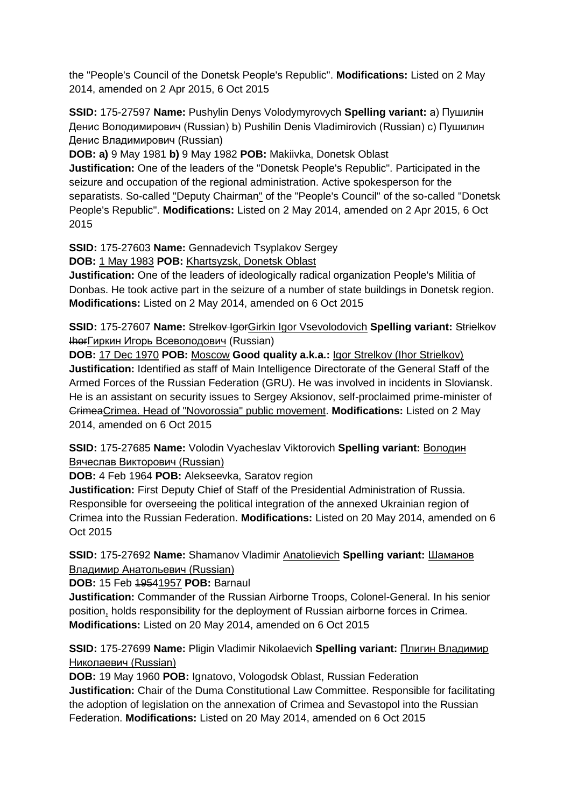the "People's Council of the Donetsk People's Republic". **Modifications:** Listed on 2 May 2014, amended on 2 Apr 2015, 6 Oct 2015

**SSID:** 175-27597 **Name:** Pushylin Denys Volodymyrovych **Spelling variant:** a) Пушилін Денис Володимирович (Russian) b) Pushilin Denis Vladimirovich (Russian) c) Пушилин Денис Владимирович (Russian)

**DOB: a)** 9 May 1981 **b)** 9 May 1982 **POB:** Makiivka, Donetsk Oblast

**Justification:** One of the leaders of the "Donetsk People's Republic". Participated in the seizure and occupation of the regional administration. Active spokesperson for the separatists. So-called "Deputy Chairman" of the "People's Council" of the so-called "Donetsk People's Republic". **Modifications:** Listed on 2 May 2014, amended on 2 Apr 2015, 6 Oct 2015

**SSID:** 175-27603 **Name:** Gennadevich Tsyplakov Sergey

**DOB:** 1 May 1983 **POB:** Khartsyzsk, Donetsk Oblast

**Justification:** One of the leaders of ideologically radical organization People's Militia of Donbas. He took active part in the seizure of a number of state buildings in Donetsk region. **Modifications:** Listed on 2 May 2014, amended on 6 Oct 2015

**SSID:** 175-27607 Name: Strelkov IgorGirkin Igor Vsevolodovich Spelling variant: Strielkov IhorГиркин Игорь Всеволодович (Russian)

**DOB:** 17 Dec 1970 **POB:** Moscow **Good quality a.k.a.:** Igor Strelkov (Ihor Strielkov) **Justification:** Identified as staff of Main Intelligence Directorate of the General Staff of the Armed Forces of the Russian Federation (GRU). He was involved in incidents in Sloviansk. He is an assistant on security issues to Sergey Aksionov, self-proclaimed prime-minister of CrimeaCrimea. Head of "Novorossia" public movement. **Modifications:** Listed on 2 May 2014, amended on 6 Oct 2015

**SSID:** 175-27685 **Name:** Volodin Vyacheslav Viktorovich **Spelling variant:** Володин Вячеслав Викторович (Russian)

**DOB:** 4 Feb 1964 **POB:** Alekseevka, Saratov region

**Justification:** First Deputy Chief of Staff of the Presidential Administration of Russia. Responsible for overseeing the political integration of the annexed Ukrainian region of Crimea into the Russian Federation. **Modifications:** Listed on 20 May 2014, amended on 6 Oct 2015

**SSID:** 175-27692 **Name:** Shamanov Vladimir Anatolievich **Spelling variant:** Шаманов Владимир Анатольевич (Russian)

**DOB:** 15 Feb 19541957 **POB:** Barnaul

**Justification:** Commander of the Russian Airborne Troops, Colonel-General. In his senior position, holds responsibility for the deployment of Russian airborne forces in Crimea. **Modifications:** Listed on 20 May 2014, amended on 6 Oct 2015

**SSID:** 175-27699 **Name:** Pligin Vladimir Nikolaevich **Spelling variant:** Плигин Владимир Николаевич (Russian)

**DOB:** 19 May 1960 **POB:** Ignatovo, Vologodsk Oblast, Russian Federation **Justification:** Chair of the Duma Constitutional Law Committee. Responsible for facilitating the adoption of legislation on the annexation of Crimea and Sevastopol into the Russian Federation. **Modifications:** Listed on 20 May 2014, amended on 6 Oct 2015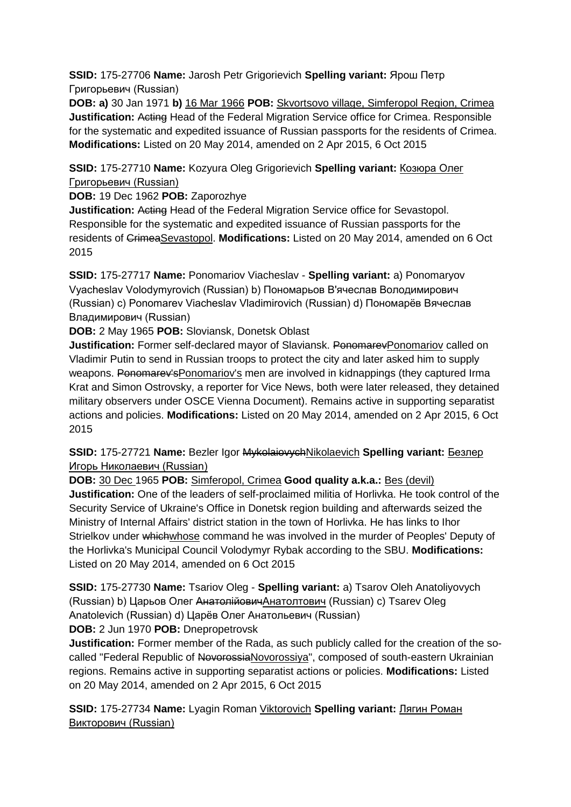**SSID:** 175-27706 **Name:** Jarosh Petr Grigorievich **Spelling variant:** Ярош Петр Григорьевич (Russian)

**DOB: a)** 30 Jan 1971 **b)** 16 Mar 1966 **POB:** Skvortsovo village, Simferopol Region, Crimea **Justification:** Acting Head of the Federal Migration Service office for Crimea. Responsible for the systematic and expedited issuance of Russian passports for the residents of Crimea. **Modifications:** Listed on 20 May 2014, amended on 2 Apr 2015, 6 Oct 2015

**SSID:** 175-27710 **Name:** Kozyura Oleg Grigorievich **Spelling variant:** Козюра Олег Григорьевич (Russian)

**DOB:** 19 Dec 1962 **POB:** Zaporozhye

**Justification: Acting Head of the Federal Migration Service office for Sevastopol.** Responsible for the systematic and expedited issuance of Russian passports for the residents of CrimeaSevastopol. **Modifications:** Listed on 20 May 2014, amended on 6 Oct 2015

**SSID:** 175-27717 **Name:** Ponomariov Viacheslav - **Spelling variant:** a) Ponomaryov Vyacheslav Volodymyrovich (Russian) b) Пономарьов В'ячеслав Володимирович (Russian) c) Ponomarev Viacheslav Vladimirovich (Russian) d) Пономарёв Вячеслав Владимирович (Russian)

**DOB:** 2 May 1965 **POB:** Sloviansk, Donetsk Oblast

**Justification:** Former self-declared mayor of Slaviansk. PonomarevPonomariov called on Vladimir Putin to send in Russian troops to protect the city and later asked him to supply weapons. Ponomarev'sPonomariov's men are involved in kidnappings (they captured Irma Krat and Simon Ostrovsky, a reporter for Vice News, both were later released, they detained military observers under OSCE Vienna Document). Remains active in supporting separatist actions and policies. **Modifications:** Listed on 20 May 2014, amended on 2 Apr 2015, 6 Oct 2015

**SSID:** 175-27721 **Name:** Bezler Igor MykolaiovychNikolaevich **Spelling variant:** Безлер Игорь Николаевич (Russian)

**DOB:** 30 Dec 1965 **POB:** Simferopol, Crimea **Good quality a.k.a.:** Bes (devil) **Justification:** One of the leaders of self-proclaimed militia of Horlivka. He took control of the Security Service of Ukraine's Office in Donetsk region building and afterwards seized the Ministry of Internal Affairs' district station in the town of Horlivka. He has links to Ihor Strielkov under whichwhose command he was involved in the murder of Peoples' Deputy of the Horlivka's Municipal Council Volodymyr Rybak according to the SBU. **Modifications:**  Listed on 20 May 2014, amended on 6 Oct 2015

**SSID:** 175-27730 **Name:** Tsariov Oleg - **Spelling variant:** a) Tsarov Oleh Anatoliyovych (Russian) b) Царьов Олег АнатолійовичАнатолтович (Russian) c) Tsarev Oleg Anatolevich (Russian) d) Царёв Олег Анатольевич (Russian)

**DOB:** 2 Jun 1970 **POB:** Dnepropetrovsk

**Justification:** Former member of the Rada, as such publicly called for the creation of the socalled "Federal Republic of NovorossiaNovorossiya", composed of south-eastern Ukrainian regions. Remains active in supporting separatist actions or policies. **Modifications:** Listed on 20 May 2014, amended on 2 Apr 2015, 6 Oct 2015

**SSID:** 175-27734 **Name:** Lyagin Roman Viktorovich **Spelling variant:** Лягин Роман Викторович (Russian)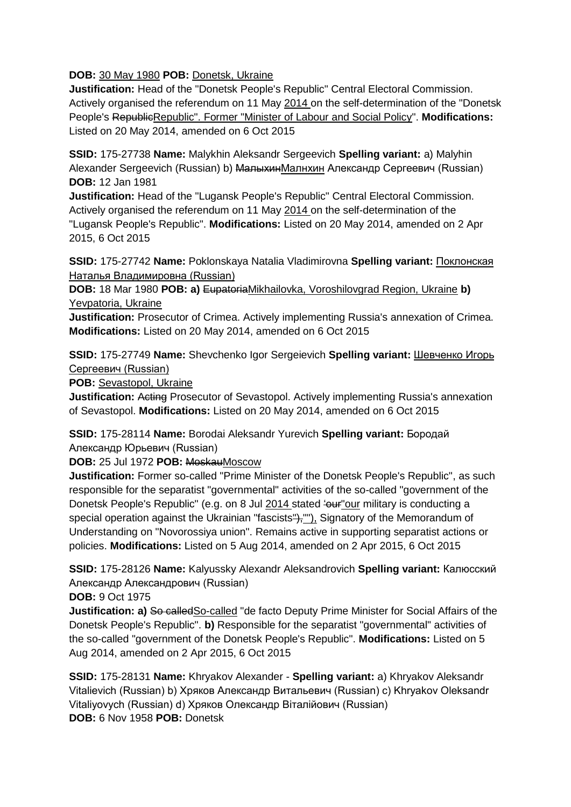**DOB:** 30 May 1980 **POB:** Donetsk, Ukraine

**Justification:** Head of the "Donetsk People's Republic" Central Electoral Commission. Actively organised the referendum on 11 May 2014 on the self-determination of the "Donetsk People's RepublicRepublic". Former "Minister of Labour and Social Policy". Modifications: Listed on 20 May 2014, amended on 6 Oct 2015

**SSID:** 175-27738 **Name:** Malykhin Aleksandr Sergeevich **Spelling variant:** a) Malyhin Alexander Sergeevich (Russian) b) <del>Малыхин</del>Малнхин Александр Сергеевич (Russian) **DOB:** 12 Jan 1981

**Justification:** Head of the "Lugansk People's Republic" Central Electoral Commission. Actively organised the referendum on 11 May 2014 on the self-determination of the "Lugansk People's Republic". **Modifications:** Listed on 20 May 2014, amended on 2 Apr 2015, 6 Oct 2015

**SSID:** 175-27742 **Name:** Poklonskaya Natalia Vladimirovna **Spelling variant:** Поклонская Наталья Владимировна (Russian)

**DOB:** 18 Mar 1980 **POB: a)** EupatoriaMikhailovka, Voroshilovgrad Region, Ukraine **b)**  Yevpatoria, Ukraine

**Justification:** Prosecutor of Crimea. Actively implementing Russia's annexation of Crimea. **Modifications:** Listed on 20 May 2014, amended on 6 Oct 2015

**SSID:** 175-27749 **Name:** Shevchenko Igor Sergeievich **Spelling variant:** Шевченко Игорь Сергеевич (Russian)

**POB:** Sevastopol, Ukraine

**Justification: Acting Prosecutor of Sevastopol. Actively implementing Russia's annexation** of Sevastopol. **Modifications:** Listed on 20 May 2014, amended on 6 Oct 2015

**SSID:** 175-28114 **Name:** Borodai Aleksandr Yurevich **Spelling variant:** Бородай Александр Юрьевич (Russian)

**DOB:** 25 Jul 1972 **POB:** MoskauMoscow

**Justification:** Former so-called "Prime Minister of the Donetsk People's Republic", as such responsible for the separatist "governmental" activities of the so-called "government of the Donetsk People's Republic" (e.g. on 8 Jul 2014 stated 'our" our military is conducting a special operation against the Ukrainian "fascists"), ""), Signatory of the Memorandum of Understanding on "Novorossiya union". Remains active in supporting separatist actions or policies. **Modifications:** Listed on 5 Aug 2014, amended on 2 Apr 2015, 6 Oct 2015

**SSID:** 175-28126 **Name:** Kalyussky Alexandr Aleksandrovich **Spelling variant:** Калюсский Александр Александрович (Russian)

**DOB:** 9 Oct 1975

**Justification: a)** So calledSo-called "de facto Deputy Prime Minister for Social Affairs of the Donetsk People's Republic". **b)** Responsible for the separatist "governmental" activities of the so-called "government of the Donetsk People's Republic". **Modifications:** Listed on 5 Aug 2014, amended on 2 Apr 2015, 6 Oct 2015

**SSID:** 175-28131 **Name:** Khryakov Alexander - **Spelling variant:** a) Khryakov Aleksandr Vitalievich (Russian) b) Хряков Александр Витальевич (Russian) c) Khryakov Oleksandr Vitaliyovych (Russian) d) Хряков Олександр Віталійович (Russian) **DOB:** 6 Nov 1958 **POB:** Donetsk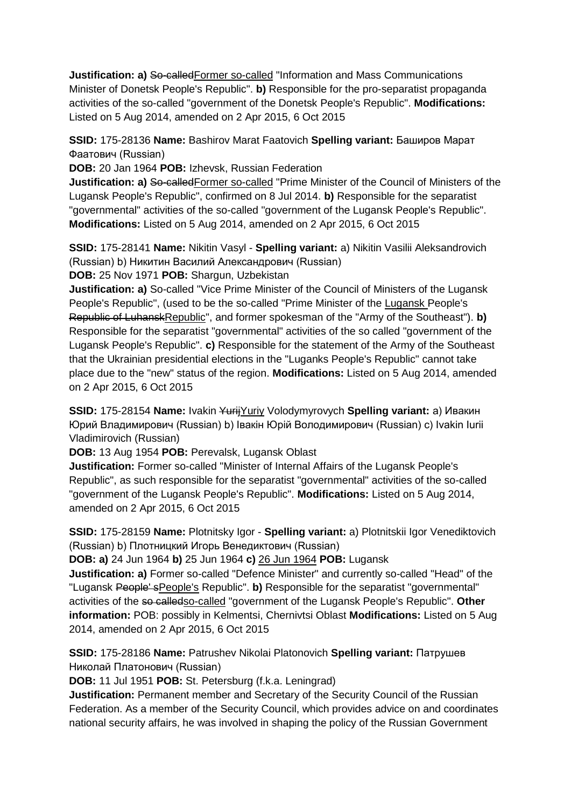**Justification: a) So-calledFormer so-called "Information and Mass Communications** Minister of Donetsk People's Republic". **b)** Responsible for the pro-separatist propaganda activities of the so-called "government of the Donetsk People's Republic". **Modifications:**  Listed on 5 Aug 2014, amended on 2 Apr 2015, 6 Oct 2015

### **SSID:** 175-28136 **Name:** Bashirov Marat Faatovich **Spelling variant:** Баширов Марат Фаатович (Russian)

**DOB:** 20 Jan 1964 **POB:** Izhevsk, Russian Federation

**Justification: a)** So-calledFormer so-called "Prime Minister of the Council of Ministers of the Lugansk People's Republic", confirmed on 8 Jul 2014. **b)** Responsible for the separatist "governmental" activities of the so-called "government of the Lugansk People's Republic". **Modifications:** Listed on 5 Aug 2014, amended on 2 Apr 2015, 6 Oct 2015

**SSID:** 175-28141 **Name:** Nikitin Vasyl - **Spelling variant:** a) Nikitin Vasilii Aleksandrovich (Russian) b) Никитин Василий Александрович (Russian)

**DOB:** 25 Nov 1971 **POB:** Shargun, Uzbekistan

**Justification: a)** So-called "Vice Prime Minister of the Council of Ministers of the Lugansk People's Republic", (used to be the so-called "Prime Minister of the Lugansk People's Republic of LuhanskRepublic", and former spokesman of the "Army of the Southeast"). **b)**  Responsible for the separatist "governmental" activities of the so called "government of the Lugansk People's Republic". **c)** Responsible for the statement of the Army of the Southeast that the Ukrainian presidential elections in the "Luganks People's Republic" cannot take place due to the "new" status of the region. **Modifications:** Listed on 5 Aug 2014, amended on 2 Apr 2015, 6 Oct 2015

**SSID:** 175-28154 **Name:** Ivakin YurijYuriy Volodymyrovych **Spelling variant:** a) Ивакин Юрий Владимирович (Russian) b) Івакін Юрій Володимирович (Russian) c) Ivakin Iurii Vladimirovich (Russian)

**DOB:** 13 Aug 1954 **POB:** Perevalsk, Lugansk Oblast

**Justification:** Former so-called "Minister of Internal Affairs of the Lugansk People's Republic", as such responsible for the separatist "governmental" activities of the so-called "government of the Lugansk People's Republic". **Modifications:** Listed on 5 Aug 2014, amended on 2 Apr 2015, 6 Oct 2015

**SSID:** 175-28159 **Name:** Plotnitsky Igor - **Spelling variant:** a) Plotnitskii Igor Venediktovich (Russian) b) Плотницкий Игорь Венедиктович (Russian)

**DOB: a)** 24 Jun 1964 **b)** 25 Jun 1964 **c)** 26 Jun 1964 **POB:** Lugansk

**Justification: a)** Former so-called "Defence Minister" and currently so-called "Head" of the "Lugansk People' sPeople's Republic". **b)** Responsible for the separatist "governmental" activities of the so calledso-called "government of the Lugansk People's Republic". **Other information:** POB: possibly in Kelmentsi, Chernivtsi Oblast **Modifications:** Listed on 5 Aug 2014, amended on 2 Apr 2015, 6 Oct 2015

**SSID:** 175-28186 **Name:** Patrushev Nikolai Platonovich **Spelling variant:** Патрушев Николай Платонович (Russian)

**DOB:** 11 Jul 1951 **POB:** St. Petersburg (f.k.a. Leningrad)

**Justification:** Permanent member and Secretary of the Security Council of the Russian Federation. As a member of the Security Council, which provides advice on and coordinates national security affairs, he was involved in shaping the policy of the Russian Government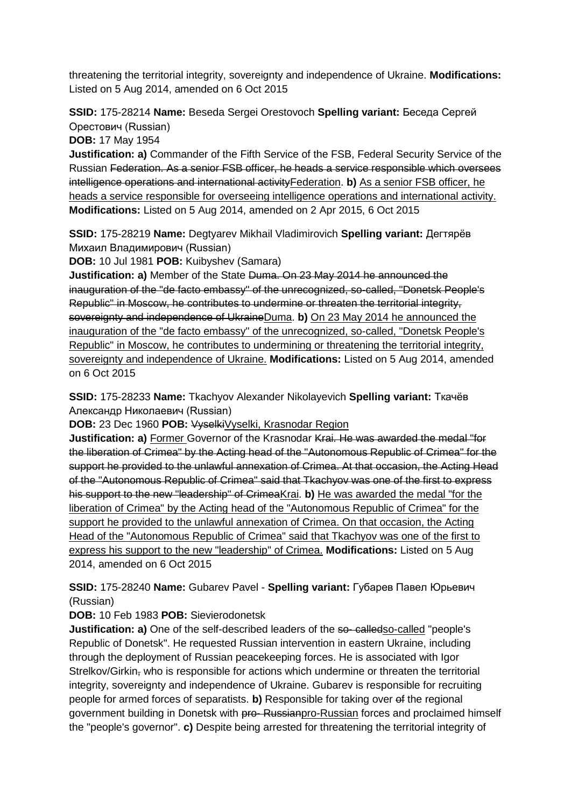threatening the territorial integrity, sovereignty and independence of Ukraine. **Modifications:**  Listed on 5 Aug 2014, amended on 6 Oct 2015

**SSID:** 175-28214 **Name:** Beseda Sergei Orestovoch **Spelling variant:** Беседа Сергей Орестович (Russian)

**DOB:** 17 May 1954

**Justification: a)** Commander of the Fifth Service of the FSB, Federal Security Service of the Russian Federation. As a senior FSB officer, he heads a service responsible which oversees intelligence operations and international activityFederation. **b)** As a senior FSB officer, he heads a service responsible for overseeing intelligence operations and international activity. **Modifications:** Listed on 5 Aug 2014, amended on 2 Apr 2015, 6 Oct 2015

**SSID:** 175-28219 **Name:** Degtyarev Mikhail Vladimirovich **Spelling variant:** Дегтярёв Михаил Владимирович (Russian)

**DOB:** 10 Jul 1981 **POB:** Kuibyshev (Samara)

**Justification: a)** Member of the State Duma. On 23 May 2014 he announced the inauguration of the "de facto embassy" of the unrecognized, so-called, "Donetsk People's Republic" in Moscow, he contributes to undermine or threaten the territorial integrity, sovereignty and independence of UkraineDuma. **b)** On 23 May 2014 he announced the inauguration of the "de facto embassy" of the unrecognized, so-called, "Donetsk People's Republic" in Moscow, he contributes to undermining or threatening the territorial integrity, sovereignty and independence of Ukraine. **Modifications:** Listed on 5 Aug 2014, amended on 6 Oct 2015

**SSID:** 175-28233 **Name:** Tkachyov Alexander Nikolayevich **Spelling variant:** Ткачёв Александр Николаевич (Russian)

**DOB:** 23 Dec 1960 **POB:** VyselkiVyselki, Krasnodar Region

**Justification: a)** Former Governor of the Krasnodar Krai. He was awarded the medal "for the liberation of Crimea" by the Acting head of the "Autonomous Republic of Crimea" for the support he provided to the unlawful annexation of Crimea. At that occasion, the Acting Head of the "Autonomous Republic of Crimea" said that Tkachyov was one of the first to express his support to the new "leadership" of CrimeaKrai. **b)** He was awarded the medal "for the liberation of Crimea" by the Acting head of the "Autonomous Republic of Crimea" for the support he provided to the unlawful annexation of Crimea. On that occasion, the Acting Head of the "Autonomous Republic of Crimea" said that Tkachyov was one of the first to express his support to the new "leadership" of Crimea. **Modifications:** Listed on 5 Aug 2014, amended on 6 Oct 2015

**SSID:** 175-28240 **Name:** Gubarev Pavel - **Spelling variant:** Губарев Павел Юрьевич (Russian)

**DOB:** 10 Feb 1983 **POB:** Sievierodonetsk

**Justification: a)** One of the self-described leaders of the so-calledso-called "people's Republic of Donetsk". He requested Russian intervention in eastern Ukraine, including through the deployment of Russian peacekeeping forces. He is associated with Igor Strelkov/Girkin, who is responsible for actions which undermine or threaten the territorial integrity, sovereignty and independence of Ukraine. Gubarev is responsible for recruiting people for armed forces of separatists. **b)** Responsible for taking over of the regional government building in Donetsk with pro-Russianpro-Russian forces and proclaimed himself the "people's governor". **c)** Despite being arrested for threatening the territorial integrity of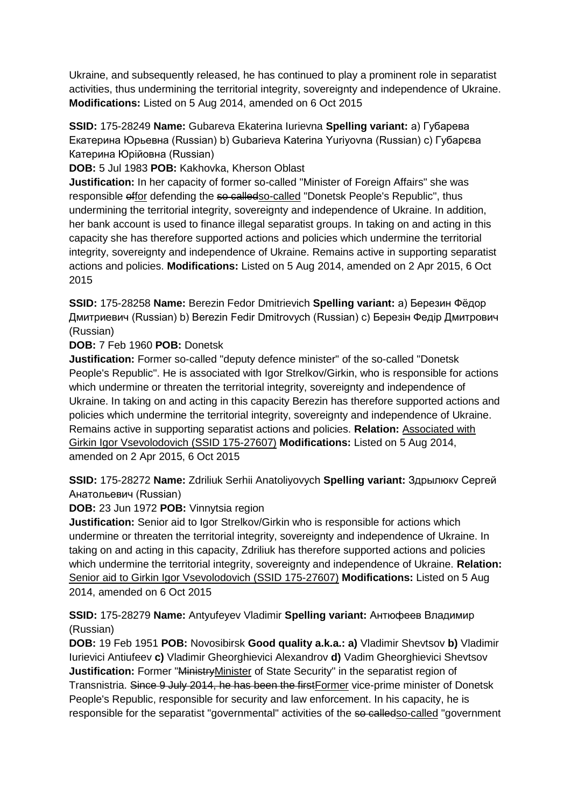Ukraine, and subsequently released, he has continued to play a prominent role in separatist activities, thus undermining the territorial integrity, sovereignty and independence of Ukraine. **Modifications:** Listed on 5 Aug 2014, amended on 6 Oct 2015

**SSID:** 175-28249 **Name:** Gubareva Ekaterina Iurievna **Spelling variant:** a) Губарева Екатерина Юрьевна (Russian) b) Gubarieva Katerina Yuriyovna (Russian) c) Губарєва Катерина Юрійовнa (Russian)

**DOB:** 5 Jul 1983 **POB:** Kakhovka, Kherson Oblast

**Justification:** In her capacity of former so-called "Minister of Foreign Affairs" she was responsible offor defending the so-calledso-called "Donetsk People's Republic", thus undermining the territorial integrity, sovereignty and independence of Ukraine. In addition, her bank account is used to finance illegal separatist groups. In taking on and acting in this capacity she has therefore supported actions and policies which undermine the territorial integrity, sovereignty and independence of Ukraine. Remains active in supporting separatist actions and policies. **Modifications:** Listed on 5 Aug 2014, amended on 2 Apr 2015, 6 Oct 2015

**SSID:** 175-28258 **Name:** Berezin Fedor Dmitrievich **Spelling variant:** a) Березин Фёдор Дмитриевич (Russian) b) Berezin Fedir Dmitrovych (Russian) c) Березін Федір Дмитрович (Russian)

**DOB:** 7 Feb 1960 **POB:** Donetsk

**Justification:** Former so-called "deputy defence minister" of the so-called "Donetsk People's Republic". He is associated with Igor Strelkov/Girkin, who is responsible for actions which undermine or threaten the territorial integrity, sovereignty and independence of Ukraine. In taking on and acting in this capacity Berezin has therefore supported actions and policies which undermine the territorial integrity, sovereignty and independence of Ukraine. Remains active in supporting separatist actions and policies. **Relation:** Associated with Girkin Igor Vsevolodovich (SSID 175-27607) **Modifications:** Listed on 5 Aug 2014, amended on 2 Apr 2015, 6 Oct 2015

**SSID:** 175-28272 **Name:** Zdriliuk Serhii Anatoliyovych **Spelling variant:** Здрылюкv Сергей Анатольевич (Russian)

**DOB:** 23 Jun 1972 **POB:** Vinnytsia region

**Justification:** Senior aid to Igor Strelkov/Girkin who is responsible for actions which undermine or threaten the territorial integrity, sovereignty and independence of Ukraine. In taking on and acting in this capacity, Zdriliuk has therefore supported actions and policies which undermine the territorial integrity, sovereignty and independence of Ukraine. **Relation:** Senior aid to Girkin Igor Vsevolodovich (SSID 175-27607) **Modifications:** Listed on 5 Aug 2014, amended on 6 Oct 2015

**SSID:** 175-28279 **Name:** Antyufeyev Vladimir **Spelling variant:** Антюфеев Владимир (Russian)

**DOB:** 19 Feb 1951 **POB:** Novosibirsk **Good quality a.k.a.: a)** Vladimir Shevtsov **b)** Vladimir Iurievici Antiufeev **c)** Vladimir Gheorghievici Alexandrov **d)** Vadim Gheorghievici Shevtsov **Justification:** Former "Ministry Minister of State Security" in the separatist region of Transnistria. Since 9 July 2014, he has been the firstFormer vice-prime minister of Donetsk People's Republic, responsible for security and law enforcement. In his capacity, he is responsible for the separatist "governmental" activities of the so called so-called "government"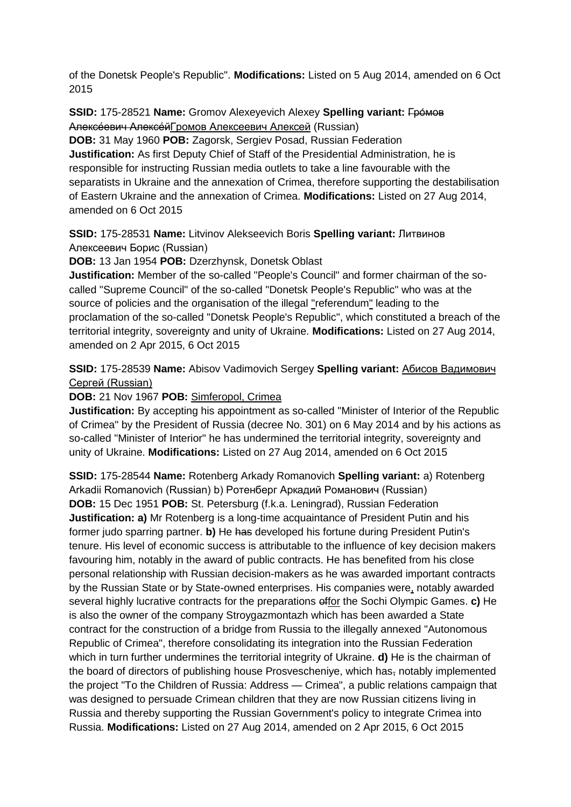of the Donetsk People's Republic". **Modifications:** Listed on 5 Aug 2014, amended on 6 Oct 2015

#### **SSID:** 175-28521 **Name:** Gromov Alexeyevich Alexey **Spelling variant:** Гро́мов Алексе́евич Алексе́йГромов Алексеевич Алексей (Russian)

**DOB:** 31 May 1960 **POB:** Zagorsk, Sergiev Posad, Russian Federation **Justification:** As first Deputy Chief of Staff of the Presidential Administration, he is responsible for instructing Russian media outlets to take a line favourable with the separatists in Ukraine and the annexation of Crimea, therefore supporting the destabilisation of Eastern Ukraine and the annexation of Crimea. **Modifications:** Listed on 27 Aug 2014, amended on 6 Oct 2015

### **SSID:** 175-28531 **Name:** Litvinov Alekseevich Boris **Spelling variant:** Литвинов Алексеевич Борис (Russian)

**DOB:** 13 Jan 1954 **POB:** Dzerzhynsk, Donetsk Oblast

**Justification:** Member of the so-called "People's Council" and former chairman of the socalled "Supreme Council" of the so-called "Donetsk People's Republic" who was at the source of policies and the organisation of the illegal "referendum" leading to the proclamation of the so-called "Donetsk People's Republic", which constituted a breach of the territorial integrity, sovereignty and unity of Ukraine. **Modifications:** Listed on 27 Aug 2014, amended on 2 Apr 2015, 6 Oct 2015

**SSID:** 175-28539 **Name:** Abisov Vadimovich Sergey **Spelling variant:** Абисов Вадимович Сергей (Russian)

**DOB:** 21 Nov 1967 **POB:** Simferopol, Crimea

**Justification:** By accepting his appointment as so-called "Minister of Interior of the Republic of Crimea" by the President of Russia (decree No. 301) on 6 May 2014 and by his actions as so-called "Minister of Interior" he has undermined the territorial integrity, sovereignty and unity of Ukraine. **Modifications:** Listed on 27 Aug 2014, amended on 6 Oct 2015

**SSID:** 175-28544 **Name:** Rotenberg Arkady Romanovich **Spelling variant:** a) Rotenberg Arkadii Romanovich (Russian) b) Ротенберг Аркадий Романович (Russian) **DOB:** 15 Dec 1951 **POB:** St. Petersburg (f.k.a. Leningrad), Russian Federation **Justification: a)** Mr Rotenberg is a long-time acquaintance of President Putin and his former judo sparring partner. **b)** He has developed his fortune during President Putin's tenure. His level of economic success is attributable to the influence of key decision makers favouring him, notably in the award of public contracts. He has benefited from his close personal relationship with Russian decision-makers as he was awarded important contracts by the Russian State or by State-owned enterprises. His companies were, notably awarded several highly lucrative contracts for the preparations offor the Sochi Olympic Games. **c)** He is also the owner of the company Stroygazmontazh which has been awarded a State contract for the construction of a bridge from Russia to the illegally annexed "Autonomous Republic of Crimea", therefore consolidating its integration into the Russian Federation which in turn further undermines the territorial integrity of Ukraine. **d)** He is the chairman of the board of directors of publishing house Prosvescheniye, which has, notably implemented the project "To the Children of Russia: Address — Crimea", a public relations campaign that was designed to persuade Crimean children that they are now Russian citizens living in Russia and thereby supporting the Russian Government's policy to integrate Crimea into Russia. **Modifications:** Listed on 27 Aug 2014, amended on 2 Apr 2015, 6 Oct 2015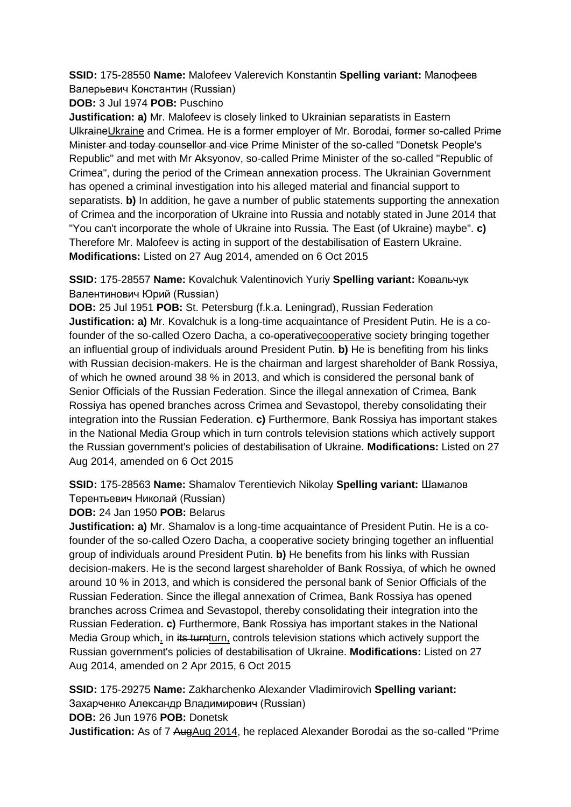**SSID:** 175-28550 **Name:** Malofeev Valerevich Konstantin **Spelling variant:** Малофеев Валерьевич Константин (Russian)

**DOB:** 3 Jul 1974 **POB:** Puschino

**Justification: a)** Mr. Malofeev is closely linked to Ukrainian separatists in Eastern UlkraineUkraine and Crimea. He is a former employer of Mr. Borodai, former so-called Prime Minister and today counsellor and vice Prime Minister of the so-called "Donetsk People's Republic" and met with Mr Aksyonov, so-called Prime Minister of the so-called "Republic of Crimea", during the period of the Crimean annexation process. The Ukrainian Government has opened a criminal investigation into his alleged material and financial support to separatists. **b)** In addition, he gave a number of public statements supporting the annexation of Crimea and the incorporation of Ukraine into Russia and notably stated in June 2014 that "You can't incorporate the whole of Ukraine into Russia. The East (of Ukraine) maybe". **c)**  Therefore Mr. Malofeev is acting in support of the destabilisation of Eastern Ukraine. **Modifications:** Listed on 27 Aug 2014, amended on 6 Oct 2015

**SSID:** 175-28557 **Name:** Kovalchuk Valentinovich Yuriy **Spelling variant:** Ковальчук Валентинович Юрий (Russian)

**DOB:** 25 Jul 1951 **POB:** St. Petersburg (f.k.a. Leningrad), Russian Federation **Justification: a)** Mr. Kovalchuk is a long-time acquaintance of President Putin. He is a cofounder of the so-called Ozero Dacha, a co-operativecooperative society bringing together an influential group of individuals around President Putin. **b)** He is benefiting from his links with Russian decision-makers. He is the chairman and largest shareholder of Bank Rossiya, of which he owned around 38 % in 2013, and which is considered the personal bank of Senior Officials of the Russian Federation. Since the illegal annexation of Crimea, Bank Rossiya has opened branches across Crimea and Sevastopol, thereby consolidating their integration into the Russian Federation. **c)** Furthermore, Bank Rossiya has important stakes in the National Media Group which in turn controls television stations which actively support the Russian government's policies of destabilisation of Ukraine. **Modifications:** Listed on 27 Aug 2014, amended on 6 Oct 2015

**SSID:** 175-28563 **Name:** Shamalov Terentievich Nikolay **Spelling variant:** Шамалов Терентьевич Николай (Russian)

**DOB:** 24 Jan 1950 **POB:** Belarus

**Justification: a)** Mr. Shamalov is a long-time acquaintance of President Putin. He is a cofounder of the so-called Ozero Dacha, a cooperative society bringing together an influential group of individuals around President Putin. **b)** He benefits from his links with Russian decision-makers. He is the second largest shareholder of Bank Rossiya, of which he owned around 10 % in 2013, and which is considered the personal bank of Senior Officials of the Russian Federation. Since the illegal annexation of Crimea, Bank Rossiya has opened branches across Crimea and Sevastopol, thereby consolidating their integration into the Russian Federation. **c)** Furthermore, Bank Rossiya has important stakes in the National Media Group which, in its turnturn, controls television stations which actively support the Russian government's policies of destabilisation of Ukraine. **Modifications:** Listed on 27 Aug 2014, amended on 2 Apr 2015, 6 Oct 2015

**SSID:** 175-29275 **Name:** Zakharchenko Alexander Vladimirovich **Spelling variant:**  Захарченко Александр Владимирович (Russian) **DOB:** 26 Jun 1976 **POB:** Donetsk

**Justification:** As of 7 AugAug 2014, he replaced Alexander Borodai as the so-called "Prime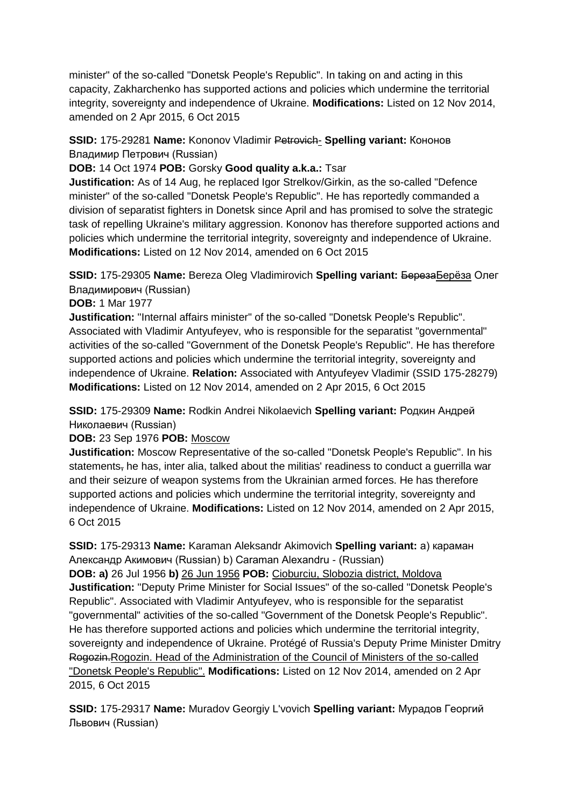minister" of the so-called "Donetsk People's Republic". In taking on and acting in this capacity, Zakharchenko has supported actions and policies which undermine the territorial integrity, sovereignty and independence of Ukraine. **Modifications:** Listed on 12 Nov 2014, amended on 2 Apr 2015, 6 Oct 2015

### **SSID:** 175-29281 **Name:** Kononov Vladimir Petrovich- **Spelling variant:** Кононов Владимир Петрович (Russian)

### **DOB:** 14 Oct 1974 **POB:** Gorsky **Good quality a.k.a.:** Tsar

**Justification:** As of 14 Aug, he replaced Igor Strelkov/Girkin, as the so-called "Defence minister" of the so-called "Donetsk People's Republic". He has reportedly commanded a division of separatist fighters in Donetsk since April and has promised to solve the strategic task of repelling Ukraine's military aggression. Kononov has therefore supported actions and policies which undermine the territorial integrity, sovereignty and independence of Ukraine. **Modifications:** Listed on 12 Nov 2014, amended on 6 Oct 2015

**SSID:** 175-29305 **Name:** Bereza Oleg Vladimirovich **Spelling variant:** БерезаБерëза Олег Владимирович (Russian)

**DOB:** 1 Mar 1977

**Justification:** "Internal affairs minister" of the so-called "Donetsk People's Republic". Associated with Vladimir Antyufeyev, who is responsible for the separatist "governmental" activities of the so-called "Government of the Donetsk People's Republic". He has therefore supported actions and policies which undermine the territorial integrity, sovereignty and independence of Ukraine. **Relation:** Associated with Antyufeyev Vladimir (SSID 175-28279) **Modifications:** Listed on 12 Nov 2014, amended on 2 Apr 2015, 6 Oct 2015

**SSID:** 175-29309 **Name:** Rodkin Andrei Nikolaevich **Spelling variant:** Родкин Андрей Николаевич (Russian)

**DOB:** 23 Sep 1976 **POB:** Moscow

**Justification:** Moscow Representative of the so-called "Donetsk People's Republic". In his statements, he has, inter alia, talked about the militias' readiness to conduct a querrilla war and their seizure of weapon systems from the Ukrainian armed forces. He has therefore supported actions and policies which undermine the territorial integrity, sovereignty and independence of Ukraine. **Modifications:** Listed on 12 Nov 2014, amended on 2 Apr 2015, 6 Oct 2015

**SSID:** 175-29313 **Name:** Karaman Aleksandr Akimovich **Spelling variant:** a) караман Александр Акимович (Russian) b) Caraman Alexandru - (Russian)

**DOB: a)** 26 Jul 1956 **b)** 26 Jun 1956 **POB:** Cioburciu, Slobozia district, Moldova **Justification:** "Deputy Prime Minister for Social Issues" of the so-called "Donetsk People's Republic". Associated with Vladimir Antyufeyev, who is responsible for the separatist "governmental" activities of the so-called "Government of the Donetsk People's Republic". He has therefore supported actions and policies which undermine the territorial integrity, sovereignty and independence of Ukraine. Protégé of Russia's Deputy Prime Minister Dmitry Rogozin.Rogozin. Head of the Administration of the Council of Ministers of the so-called "Donetsk People's Republic". **Modifications:** Listed on 12 Nov 2014, amended on 2 Apr 2015, 6 Oct 2015

**SSID:** 175-29317 **Name:** Muradov Georgiy L'vovich **Spelling variant:** Мурадов Георгий Львович (Russian)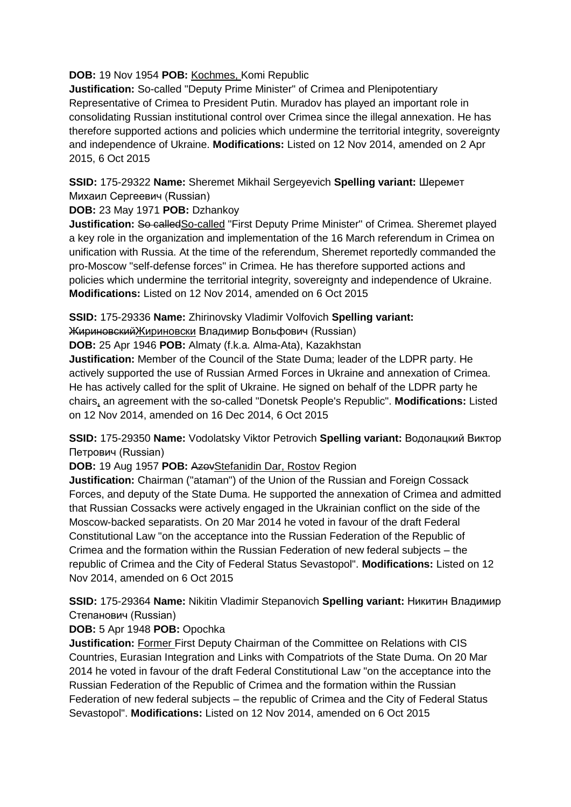**DOB:** 19 Nov 1954 **POB:** Kochmes, Komi Republic

**Justification:** So-called "Deputy Prime Minister" of Crimea and Plenipotentiary Representative of Crimea to President Putin. Muradov has played an important role in consolidating Russian institutional control over Crimea since the illegal annexation. He has therefore supported actions and policies which undermine the territorial integrity, sovereignty and independence of Ukraine. **Modifications:** Listed on 12 Nov 2014, amended on 2 Apr 2015, 6 Oct 2015

**SSID:** 175-29322 **Name:** Sheremet Mikhail Sergeyevich **Spelling variant:** Шеремет Михаил Сергеевич (Russian)

**DOB:** 23 May 1971 **POB:** Dzhankoy

**Justification:** So calledSo-called "First Deputy Prime Minister" of Crimea. Sheremet played a key role in the organization and implementation of the 16 March referendum in Crimea on unification with Russia. At the time of the referendum, Sheremet reportedly commanded the pro-Moscow "self-defense forces" in Crimea. He has therefore supported actions and policies which undermine the territorial integrity, sovereignty and independence of Ukraine. **Modifications:** Listed on 12 Nov 2014, amended on 6 Oct 2015

**SSID:** 175-29336 **Name:** Zhirinovsky Vladimir Volfovich **Spelling variant:** 

ЖириновскийЖириновски Владимир Вольфович (Russian)

**DOB:** 25 Apr 1946 **POB:** Almaty (f.k.a. Alma-Ata), Kazakhstan

**Justification:** Member of the Council of the State Duma; leader of the LDPR party. He actively supported the use of Russian Armed Forces in Ukraine and annexation of Crimea. He has actively called for the split of Ukraine. He signed on behalf of the LDPR party he chairs, an agreement with the so-called "Donetsk People's Republic". **Modifications:** Listed on 12 Nov 2014, amended on 16 Dec 2014, 6 Oct 2015

**SSID:** 175-29350 **Name:** Vodolatsky Viktor Petrovich **Spelling variant:** Водолацкий Виктор Петрович (Russian)

**DOB:** 19 Aug 1957 **POB:** AzovStefanidin Dar, Rostov Region

**Justification:** Chairman ("ataman") of the Union of the Russian and Foreign Cossack Forces, and deputy of the State Duma. He supported the annexation of Crimea and admitted that Russian Cossacks were actively engaged in the Ukrainian conflict on the side of the Moscow-backed separatists. On 20 Mar 2014 he voted in favour of the draft Federal Constitutional Law "on the acceptance into the Russian Federation of the Republic of Crimea and the formation within the Russian Federation of new federal subjects – the republic of Crimea and the City of Federal Status Sevastopol". **Modifications:** Listed on 12 Nov 2014, amended on 6 Oct 2015

**SSID:** 175-29364 **Name:** Nikitin Vladimir Stepanovich **Spelling variant:** Никитин Владимир Степанович (Russian)

**DOB:** 5 Apr 1948 **POB:** Opochka

**Justification:** Former First Deputy Chairman of the Committee on Relations with CIS Countries, Eurasian Integration and Links with Compatriots of the State Duma. On 20 Mar 2014 he voted in favour of the draft Federal Constitutional Law "on the acceptance into the Russian Federation of the Republic of Crimea and the formation within the Russian Federation of new federal subjects – the republic of Crimea and the City of Federal Status Sevastopol". **Modifications:** Listed on 12 Nov 2014, amended on 6 Oct 2015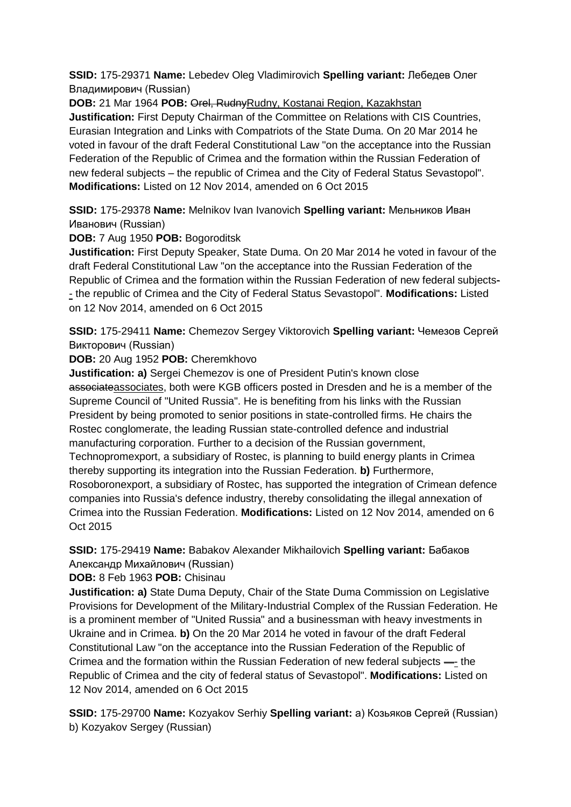**SSID:** 175-29371 **Name:** Lebedev Oleg Vladimirovich **Spelling variant:** Лебедев Олег Владимирович (Russian)

**DOB:** 21 Mar 1964 **POB:** Orel, RudnyRudny, Kostanai Region, Kazakhstan

**Justification:** First Deputy Chairman of the Committee on Relations with CIS Countries, Eurasian Integration and Links with Compatriots of the State Duma. On 20 Mar 2014 he voted in favour of the draft Federal Constitutional Law "on the acceptance into the Russian Federation of the Republic of Crimea and the formation within the Russian Federation of new federal subjects – the republic of Crimea and the City of Federal Status Sevastopol". **Modifications:** Listed on 12 Nov 2014, amended on 6 Oct 2015

**SSID:** 175-29378 **Name:** Melnikov Ivan Ivanovich **Spelling variant:** Мельников Иван Иванович (Russian)

### **DOB:** 7 Aug 1950 **POB:** Bogoroditsk

**Justification:** First Deputy Speaker, State Duma. On 20 Mar 2014 he voted in favour of the draft Federal Constitutional Law "on the acceptance into the Russian Federation of the Republic of Crimea and the formation within the Russian Federation of new federal subjects- - the republic of Crimea and the City of Federal Status Sevastopol". **Modifications:** Listed on 12 Nov 2014, amended on 6 Oct 2015

**SSID:** 175-29411 **Name:** Chemezov Sergey Viktorovich **Spelling variant:** Чемезов Сергей Викторович (Russian)

**DOB:** 20 Aug 1952 **POB:** Cheremkhovo

**Justification: a)** Sergei Chemezov is one of President Putin's known close associateassociates, both were KGB officers posted in Dresden and he is a member of the Supreme Council of "United Russia". He is benefiting from his links with the Russian President by being promoted to senior positions in state-controlled firms. He chairs the Rostec conglomerate, the leading Russian state-controlled defence and industrial manufacturing corporation. Further to a decision of the Russian government, Technopromexport, a subsidiary of Rostec, is planning to build energy plants in Crimea thereby supporting its integration into the Russian Federation. **b)** Furthermore, Rosoboronexport, a subsidiary of Rostec, has supported the integration of Crimean defence companies into Russia's defence industry, thereby consolidating the illegal annexation of Crimea into the Russian Federation. **Modifications:** Listed on 12 Nov 2014, amended on 6 Oct 2015

**SSID:** 175-29419 **Name:** Babakov Alexander Mikhailovich **Spelling variant:** Бабаков Aлександр Михайлович (Russian)

**DOB:** 8 Feb 1963 **POB:** Chisinau

**Justification: a)** State Duma Deputy, Chair of the State Duma Commission on Legislative Provisions for Development of the Military-Industrial Complex of the Russian Federation. He is a prominent member of "United Russia" and a businessman with heavy investments in Ukraine and in Crimea. **b)** On the 20 Mar 2014 he voted in favour of the draft Federal Constitutional Law "on the acceptance into the Russian Federation of the Republic of Crimea and the formation within the Russian Federation of new federal subjects —- the Republic of Crimea and the city of federal status of Sevastopol". **Modifications:** Listed on 12 Nov 2014, amended on 6 Oct 2015

**SSID:** 175-29700 **Name:** Kozyakov Serhiy **Spelling variant:** a) Козьяков Сергей (Russian) b) Kozyakov Sergey (Russian)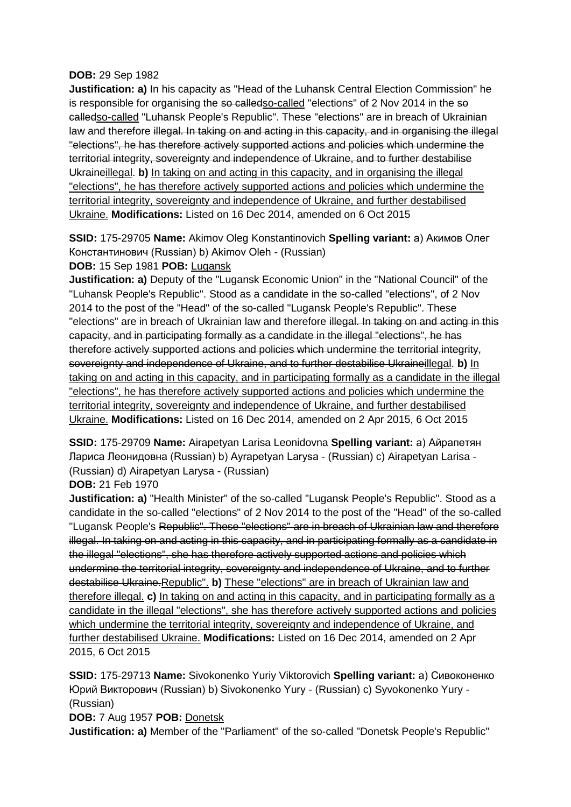#### **DOB:** 29 Sep 1982

**Justification: a)** In his capacity as "Head of the Luhansk Central Election Commission" he is responsible for organising the so-calledso-called "elections" of 2 Nov 2014 in the socalledso-called "Luhansk People's Republic". These "elections" are in breach of Ukrainian law and therefore illegal. In taking on and acting in this capacity, and in organising the illegal "elections", he has therefore actively supported actions and policies which undermine the territorial integrity, sovereignty and independence of Ukraine, and to further destabilise Ukraineillegal. **b)** In taking on and acting in this capacity, and in organising the illegal "elections", he has therefore actively supported actions and policies which undermine the territorial integrity, sovereignty and independence of Ukraine, and further destabilised Ukraine. **Modifications:** Listed on 16 Dec 2014, amended on 6 Oct 2015

**SSID:** 175-29705 **Name:** Akimov Oleg Konstantinovich **Spelling variant:** a) Акимов Олег Константинович (Russian) b) Akimov Oleh - (Russian)

#### **DOB:** 15 Sep 1981 **POB:** Lugansk

**Justification: a)** Deputy of the "Lugansk Economic Union" in the "National Council" of the "Luhansk People's Republic". Stood as a candidate in the so-called "elections", of 2 Nov 2014 to the post of the "Head" of the so-called "Lugansk People's Republic". These "elections" are in breach of Ukrainian law and therefore illegal. In taking on and acting in this capacity, and in participating formally as a candidate in the illegal "elections", he has therefore actively supported actions and policies which undermine the territorial integrity, sovereignty and independence of Ukraine, and to further destabilise Ukraineillegal. **b)** In taking on and acting in this capacity, and in participating formally as a candidate in the illegal "elections", he has therefore actively supported actions and policies which undermine the territorial integrity, sovereignty and independence of Ukraine, and further destabilised Ukraine. **Modifications:** Listed on 16 Dec 2014, amended on 2 Apr 2015, 6 Oct 2015

**SSID:** 175-29709 **Name:** Airapetyan Larisa Leonidovna **Spelling variant:** a) Айрапетян Лариса Леонидовна (Russian) b) Ayrapetyan Larysa - (Russian) c) Airapetyan Larisa - (Russian) d) Airapetyan Larysa - (Russian)

#### **DOB:** 21 Feb 1970

**Justification: a)** "Health Minister" of the so-called "Lugansk People's Republic". Stood as a candidate in the so-called "elections" of 2 Nov 2014 to the post of the "Head" of the so-called "Lugansk People's Republic". These "elections" are in breach of Ukrainian law and therefore illegal. In taking on and acting in this capacity, and in participating formally as a candidate in the illegal "elections", she has therefore actively supported actions and policies which undermine the territorial integrity, sovereignty and independence of Ukraine, and to further destabilise Ukraine.Republic". **b)** These "elections" are in breach of Ukrainian law and therefore illegal. **c)** In taking on and acting in this capacity, and in participating formally as a candidate in the illegal "elections", she has therefore actively supported actions and policies which undermine the territorial integrity, sovereignty and independence of Ukraine, and further destabilised Ukraine. **Modifications:** Listed on 16 Dec 2014, amended on 2 Apr 2015, 6 Oct 2015

**SSID:** 175-29713 **Name:** Sivokonenko Yuriy Viktorovich **Spelling variant:** a) Сивоконенко Юрий Викторович (Russian) b) Sivokonenko Yury - (Russian) c) Syvokonenko Yury - (Russian)

**DOB:** 7 Aug 1957 **POB:** Donetsk

**Justification: a)** Member of the "Parliament" of the so-called "Donetsk People's Republic"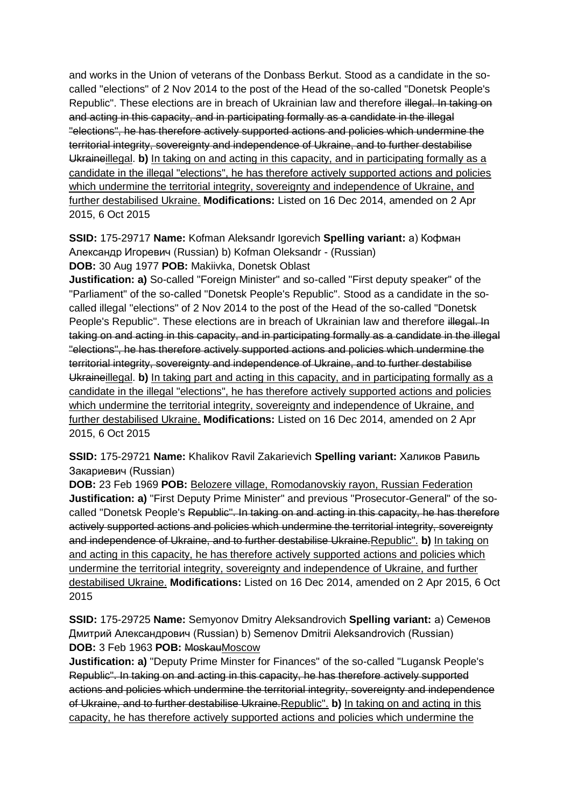and works in the Union of veterans of the Donbass Berkut. Stood as a candidate in the socalled "elections" of 2 Nov 2014 to the post of the Head of the so-called "Donetsk People's Republic". These elections are in breach of Ukrainian law and therefore illegal. In taking on and acting in this capacity, and in participating formally as a candidate in the illegal "elections", he has therefore actively supported actions and policies which undermine the territorial integrity, sovereignty and independence of Ukraine, and to further destabilise Ukraineillegal. **b)** In taking on and acting in this capacity, and in participating formally as a candidate in the illegal "elections", he has therefore actively supported actions and policies which undermine the territorial integrity, sovereignty and independence of Ukraine, and further destabilised Ukraine. **Modifications:** Listed on 16 Dec 2014, amended on 2 Apr 2015, 6 Oct 2015

**SSID:** 175-29717 **Name:** Kofman Aleksandr Igorevich **Spelling variant:** a) Кофман Александр Игоревич (Russian) b) Kofman Oleksandr - (Russian) **DOB:** 30 Aug 1977 **POB:** Makiivka, Donetsk Oblast

**Justification: a)** So-called "Foreign Minister" and so-called "First deputy speaker" of the "Parliament" of the so-called "Donetsk People's Republic". Stood as a candidate in the socalled illegal "elections" of 2 Nov 2014 to the post of the Head of the so-called "Donetsk People's Republic". These elections are in breach of Ukrainian law and therefore illegal. In taking on and acting in this capacity, and in participating formally as a candidate in the illegal "elections", he has therefore actively supported actions and policies which undermine the territorial integrity, sovereignty and independence of Ukraine, and to further destabilise Ukraineillegal. **b)** In taking part and acting in this capacity, and in participating formally as a candidate in the illegal "elections", he has therefore actively supported actions and policies which undermine the territorial integrity, sovereignty and independence of Ukraine, and further destabilised Ukraine. **Modifications:** Listed on 16 Dec 2014, amended on 2 Apr 2015, 6 Oct 2015

**SSID:** 175-29721 **Name:** Khalikov Ravil Zakarievich **Spelling variant:** Халиков Равиль Закариевич (Russian)

**DOB:** 23 Feb 1969 **POB:** Belozere village, Romodanovskiy rayon, Russian Federation **Justification: a)** "First Deputy Prime Minister" and previous "Prosecutor-General" of the socalled "Donetsk People's Republic". In taking on and acting in this capacity, he has therefore actively supported actions and policies which undermine the territorial integrity, sovereignty and independence of Ukraine, and to further destabilise Ukraine.Republic". **b)** In taking on and acting in this capacity, he has therefore actively supported actions and policies which undermine the territorial integrity, sovereignty and independence of Ukraine, and further destabilised Ukraine. **Modifications:** Listed on 16 Dec 2014, amended on 2 Apr 2015, 6 Oct 2015

**SSID:** 175-29725 **Name:** Semyonov Dmitry Aleksandrovich **Spelling variant:** a) Семенов Дмитрий Александрович (Russian) b) Semenov Dmitrii Aleksandrovich (Russian) **DOB:** 3 Feb 1963 **POB:** MoskauMoscow

**Justification: a)** "Deputy Prime Minster for Finances" of the so-called "Lugansk People's Republic". In taking on and acting in this capacity, he has therefore actively supported actions and policies which undermine the territorial integrity, sovereignty and independence of Ukraine, and to further destabilise Ukraine.Republic". **b)** In taking on and acting in this capacity, he has therefore actively supported actions and policies which undermine the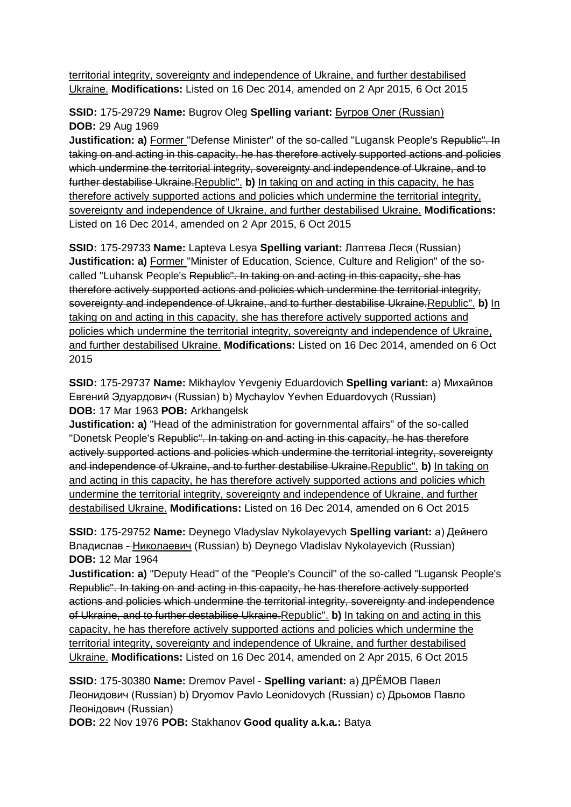territorial integrity, sovereignty and independence of Ukraine, and further destabilised Ukraine. **Modifications:** Listed on 16 Dec 2014, amended on 2 Apr 2015, 6 Oct 2015

### **SSID:** 175-29729 **Name:** Bugrov Oleg **Spelling variant:** Бугров Олег (Russian) **DOB:** 29 Aug 1969

**Justification: a)** Former "Defense Minister" of the so-called "Lugansk People's Republic". In taking on and acting in this capacity, he has therefore actively supported actions and policies which undermine the territorial integrity, sovereignty and independence of Ukraine, and to further destabilise Ukraine.Republic". **b)** In taking on and acting in this capacity, he has therefore actively supported actions and policies which undermine the territorial integrity, sovereignty and independence of Ukraine, and further destabilised Ukraine. **Modifications:**  Listed on 16 Dec 2014, amended on 2 Apr 2015, 6 Oct 2015

**SSID:** 175-29733 **Name:** Lapteva Lesya **Spelling variant:** Лаптева Леся (Russian) **Justification: a)** Former "Minister of Education, Science, Culture and Religion" of the socalled "Luhansk People's Republic". In taking on and acting in this capacity, she has therefore actively supported actions and policies which undermine the territorial integrity, sovereignty and independence of Ukraine, and to further destabilise Ukraine.Republic". **b)** In taking on and acting in this capacity, she has therefore actively supported actions and policies which undermine the territorial integrity, sovereignty and independence of Ukraine, and further destabilised Ukraine. **Modifications:** Listed on 16 Dec 2014, amended on 6 Oct 2015

**SSID:** 175-29737 **Name:** Mikhaylov Yevgeniy Eduardovich **Spelling variant:** a) Михайлов Евгений Эдуардович (Russian) b) Mychaylov Yevhen Eduardovych (Russian) **DOB:** 17 Mar 1963 **POB:** Arkhangelsk

**Justification: a)** "Head of the administration for governmental affairs" of the so-called "Donetsk People's Republic". In taking on and acting in this capacity, he has therefore actively supported actions and policies which undermine the territorial integrity, sovereignty and independence of Ukraine, and to further destabilise Ukraine.Republic". **b)** In taking on and acting in this capacity, he has therefore actively supported actions and policies which undermine the territorial integrity, sovereignty and independence of Ukraine, and further destabilised Ukraine. **Modifications:** Listed on 16 Dec 2014, amended on 6 Oct 2015

**SSID:** 175-29752 **Name:** Deynego Vladyslav Nykolayevych **Spelling variant:** a) Дейнего Владислав - Николаевич (Russian) b) Deynego Vladislav Nykolayevich (Russian) **DOB:** 12 Mar 1964

**Justification: a)** "Deputy Head" of the "People's Council" of the so-called "Lugansk People's Republic". In taking on and acting in this capacity, he has therefore actively supported actions and policies which undermine the territorial integrity, sovereignty and independence of Ukraine, and to further destabilise Ukraine.Republic". **b)** In taking on and acting in this capacity, he has therefore actively supported actions and policies which undermine the territorial integrity, sovereignty and independence of Ukraine, and further destabilised Ukraine. **Modifications:** Listed on 16 Dec 2014, amended on 2 Apr 2015, 6 Oct 2015

**SSID:** 175-30380 **Name:** Dremov Pavel - **Spelling variant:** a) ДРЁМОВ Павел Леонидович (Russian) b) Dryomov Pavlo Leonidovych (Russian) c) Дрьомов Павло Леонідович (Russian)

**DOB:** 22 Nov 1976 **POB:** Stakhanov **Good quality a.k.a.:** Batya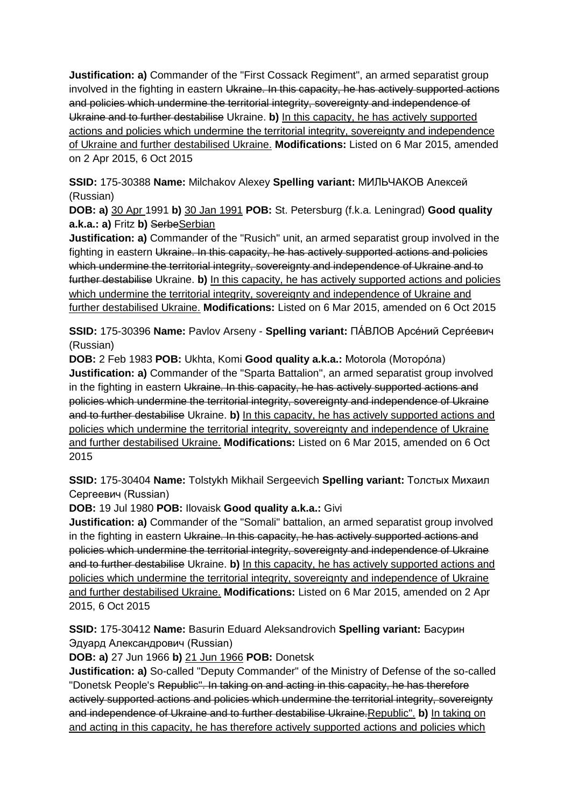**Justification: a)** Commander of the "First Cossack Regiment", an armed separatist group involved in the fighting in eastern Ukraine. In this capacity, he has actively supported actions and policies which undermine the territorial integrity, sovereignty and independence of Ukraine and to further destabilise Ukraine. **b)** In this capacity, he has actively supported actions and policies which undermine the territorial integrity, sovereignty and independence of Ukraine and further destabilised Ukraine. **Modifications:** Listed on 6 Mar 2015, amended on 2 Apr 2015, 6 Oct 2015

**SSID:** 175-30388 **Name:** Milchakov Alexey **Spelling variant:** МИЛЬЧАКОВ Алексей (Russian)

**DOB: a)** 30 Apr 1991 **b)** 30 Jan 1991 **POB:** St. Petersburg (f.k.a. Leningrad) **Good quality a.k.a.: a)** Fritz **b)** SerbeSerbian

**Justification: a)** Commander of the "Rusich" unit, an armed separatist group involved in the fighting in eastern Ukraine. In this capacity, he has actively supported actions and policies which undermine the territorial integrity, sovereignty and independence of Ukraine and to further destabilise Ukraine. **b)** In this capacity, he has actively supported actions and policies which undermine the territorial integrity, sovereignty and independence of Ukraine and further destabilised Ukraine. **Modifications:** Listed on 6 Mar 2015, amended on 6 Oct 2015

**SSID:** 175-30396 **Name:** Pavlov Arseny - **Spelling variant:** ПÁВЛОВ Арсéний Сергéевич (Russian)

**DOB:** 2 Feb 1983 **POB:** Ukhta, Komi **Good quality a.k.a.:** Motorola (Моторóла) **Justification: a)** Commander of the "Sparta Battalion", an armed separatist group involved in the fighting in eastern Ukraine. In this capacity, he has actively supported actions and policies which undermine the territorial integrity, sovereignty and independence of Ukraine and to further destabilise Ukraine. **b)** In this capacity, he has actively supported actions and policies which undermine the territorial integrity, sovereignty and independence of Ukraine and further destabilised Ukraine. **Modifications:** Listed on 6 Mar 2015, amended on 6 Oct 2015

**SSID:** 175-30404 **Name:** Tolstykh Mikhail Sergeevich **Spelling variant:** Толстых Михаил Сергеевич (Russian)

**DOB:** 19 Jul 1980 **POB:** Ilovaisk **Good quality a.k.a.:** Givi

**Justification: a)** Commander of the "Somali" battalion, an armed separatist group involved in the fighting in eastern Ukraine. In this capacity, he has actively supported actions and policies which undermine the territorial integrity, sovereignty and independence of Ukraine and to further destabilise Ukraine. **b)** In this capacity, he has actively supported actions and policies which undermine the territorial integrity, sovereignty and independence of Ukraine and further destabilised Ukraine. **Modifications:** Listed on 6 Mar 2015, amended on 2 Apr 2015, 6 Oct 2015

**SSID:** 175-30412 **Name:** Basurin Eduard Aleksandrovich **Spelling variant:** Басурин Эдуард Александрович (Russian)

**DOB: a)** 27 Jun 1966 **b)** 21 Jun 1966 **POB:** Donetsk

**Justification: a)** So-called "Deputy Commander" of the Ministry of Defense of the so-called "Donetsk People's Republic". In taking on and acting in this capacity, he has therefore actively supported actions and policies which undermine the territorial integrity, sovereignty and independence of Ukraine and to further destabilise Ukraine.Republic". **b)** In taking on and acting in this capacity, he has therefore actively supported actions and policies which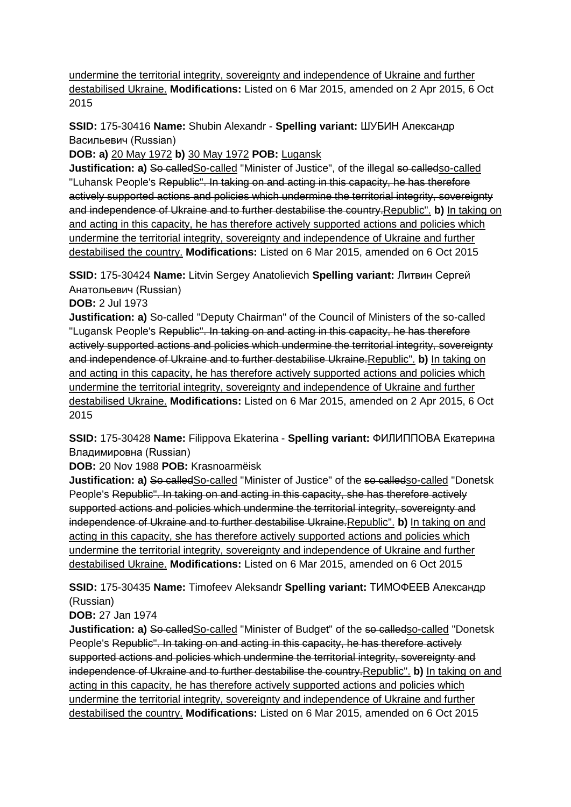undermine the territorial integrity, sovereignty and independence of Ukraine and further destabilised Ukraine. **Modifications:** Listed on 6 Mar 2015, amended on 2 Apr 2015, 6 Oct 2015

**SSID:** 175-30416 **Name:** Shubin Alexandr - **Spelling variant:** ШУБИН Александр Васильевич (Russian)

**DOB: a)** 20 May 1972 **b)** 30 May 1972 **POB:** Lugansk

**Justification: a) So calledSo-called "Minister of Justice", of the illegal so calledso-called** "Luhansk People's Republic". In taking on and acting in this capacity, he has therefore actively supported actions and policies which undermine the territorial integrity, sovereignty and independence of Ukraine and to further destabilise the country.Republic". **b)** In taking on and acting in this capacity, he has therefore actively supported actions and policies which undermine the territorial integrity, sovereignty and independence of Ukraine and further destabilised the country. **Modifications:** Listed on 6 Mar 2015, amended on 6 Oct 2015

**SSID:** 175-30424 **Name:** Litvin Sergey Anatolievich **Spelling variant:** Литвин Сергей Анатольевич (Russian)

**DOB:** 2 Jul 1973

**Justification: a)** So-called "Deputy Chairman" of the Council of Ministers of the so-called "Lugansk People's Republic". In taking on and acting in this capacity, he has therefore actively supported actions and policies which undermine the territorial integrity, sovereignty and independence of Ukraine and to further destabilise Ukraine.Republic". **b)** In taking on and acting in this capacity, he has therefore actively supported actions and policies which undermine the territorial integrity, sovereignty and independence of Ukraine and further destabilised Ukraine. **Modifications:** Listed on 6 Mar 2015, amended on 2 Apr 2015, 6 Oct 2015

**SSID:** 175-30428 **Name:** Filippova Ekaterina - **Spelling variant:** ФИЛИППОВА Екатерина Владимировна (Russian)

**DOB:** 20 Nov 1988 **POB:** Krasnoarmëisk

**Justification: a) So calledSo-called "Minister of Justice" of the so calledso-called "Donetsk** People's Republic". In taking on and acting in this capacity, she has therefore actively supported actions and policies which undermine the territorial integrity, sovereignty and independence of Ukraine and to further destabilise Ukraine.Republic". **b)** In taking on and acting in this capacity, she has therefore actively supported actions and policies which undermine the territorial integrity, sovereignty and independence of Ukraine and further destabilised Ukraine. **Modifications:** Listed on 6 Mar 2015, amended on 6 Oct 2015

**SSID:** 175-30435 **Name:** Timofeev Aleksandr **Spelling variant:** ТИМОФЕЕВ Александр (Russian)

**DOB:** 27 Jan 1974

**Justification: a) So calledSo-called "Minister of Budget" of the so calledso-called "Donetsk** People's Republic". In taking on and acting in this capacity, he has therefore actively supported actions and policies which undermine the territorial integrity, sovereignty and independence of Ukraine and to further destabilise the country.Republic". **b)** In taking on and acting in this capacity, he has therefore actively supported actions and policies which undermine the territorial integrity, sovereignty and independence of Ukraine and further destabilised the country. **Modifications:** Listed on 6 Mar 2015, amended on 6 Oct 2015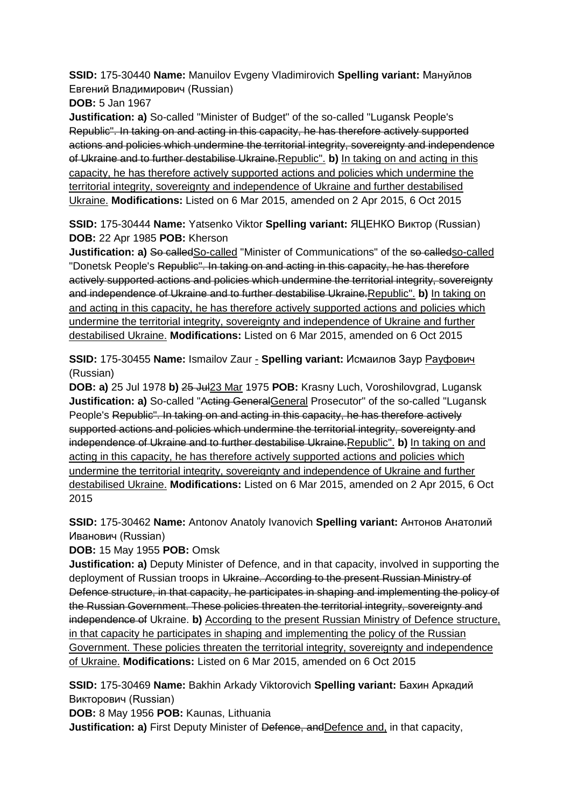**SSID:** 175-30440 **Name:** Manuilov Evgeny Vladimirovich **Spelling variant:** Мануйлов Евгений Владимирович (Russian)

**DOB:** 5 Jan 1967

**Justification: a)** So-called "Minister of Budget" of the so-called "Lugansk People's Republic". In taking on and acting in this capacity, he has therefore actively supported actions and policies which undermine the territorial integrity, sovereignty and independence of Ukraine and to further destabilise Ukraine.Republic". **b)** In taking on and acting in this capacity, he has therefore actively supported actions and policies which undermine the territorial integrity, sovereignty and independence of Ukraine and further destabilised Ukraine. **Modifications:** Listed on 6 Mar 2015, amended on 2 Apr 2015, 6 Oct 2015

**SSID:** 175-30444 **Name:** Yatsenko Viktor **Spelling variant:** ЯЦЕНКО Виктор (Russian) **DOB:** 22 Apr 1985 **POB:** Kherson

**Justification: a) So calledSo-called "Minister of Communications" of the so calledso-called** "Donetsk People's Republic". In taking on and acting in this capacity, he has therefore actively supported actions and policies which undermine the territorial integrity, sovereignty and independence of Ukraine and to further destabilise Ukraine.Republic". **b)** In taking on and acting in this capacity, he has therefore actively supported actions and policies which undermine the territorial integrity, sovereignty and independence of Ukraine and further destabilised Ukraine. **Modifications:** Listed on 6 Mar 2015, amended on 6 Oct 2015

**SSID:** 175-30455 **Name:** Ismailov Zaur - **Spelling variant:** Исмаилов Заур Рауфович (Russian)

**DOB: a)** 25 Jul 1978 **b)** 25 Jul23 Mar 1975 **POB:** Krasny Luch, Voroshilovgrad, Lugansk **Justification: a)** So-called "Acting GeneralGeneral Prosecutor" of the so-called "Lugansk People's Republic". In taking on and acting in this capacity, he has therefore actively supported actions and policies which undermine the territorial integrity, sovereignty and independence of Ukraine and to further destabilise Ukraine.Republic". **b)** In taking on and acting in this capacity, he has therefore actively supported actions and policies which undermine the territorial integrity, sovereignty and independence of Ukraine and further destabilised Ukraine. **Modifications:** Listed on 6 Mar 2015, amended on 2 Apr 2015, 6 Oct 2015

**SSID:** 175-30462 **Name:** Antonov Anatoly Ivanovich **Spelling variant:** Антонов Анатолий Иванович (Russian)

**DOB:** 15 May 1955 **POB:** Omsk

**Justification: a)** Deputy Minister of Defence, and in that capacity, involved in supporting the deployment of Russian troops in Ukraine. According to the present Russian Ministry of Defence structure, in that capacity, he participates in shaping and implementing the policy of the Russian Government. These policies threaten the territorial integrity, sovereignty and independence of Ukraine. **b)** According to the present Russian Ministry of Defence structure, in that capacity he participates in shaping and implementing the policy of the Russian Government. These policies threaten the territorial integrity, sovereignty and independence of Ukraine. **Modifications:** Listed on 6 Mar 2015, amended on 6 Oct 2015

**SSID:** 175-30469 **Name:** Bakhin Arkady Viktorovich **Spelling variant:** Бахин Аркадий Викторович (Russian)

**DOB:** 8 May 1956 **POB:** Kaunas, Lithuania

**Justification: a)** First Deputy Minister of Defence, and Defence and, in that capacity,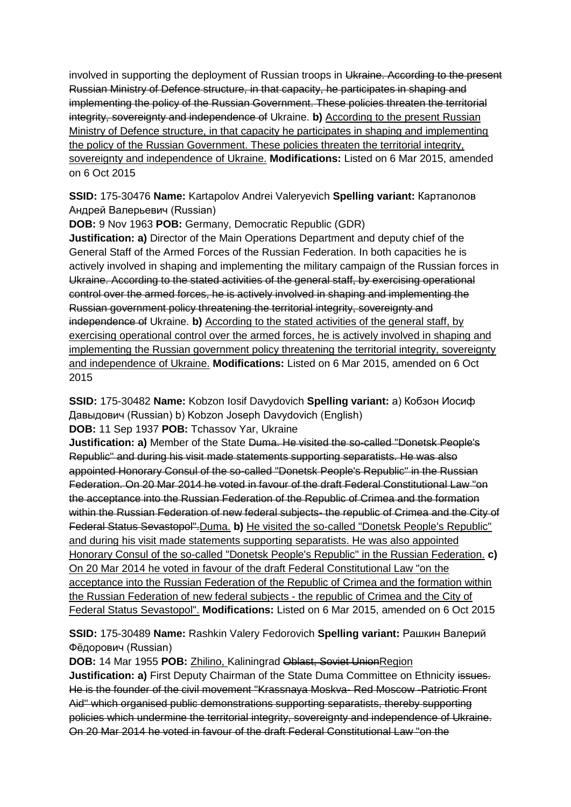involved in supporting the deployment of Russian troops in Ukraine. According to the present Russian Ministry of Defence structure, in that capacity, he participates in shaping and implementing the policy of the Russian Government. These policies threaten the territorial integrity, sovereignty and independence of Ukraine. **b)** According to the present Russian Ministry of Defence structure, in that capacity he participates in shaping and implementing the policy of the Russian Government. These policies threaten the territorial integrity, sovereignty and independence of Ukraine. **Modifications:** Listed on 6 Mar 2015, amended on 6 Oct 2015

**SSID:** 175-30476 **Name:** Kartapolov Andrei Valeryevich **Spelling variant:** Картaполов Андрей Валерьевич (Russian)

**DOB:** 9 Nov 1963 **POB:** Germany, Democratic Republic (GDR)

**Justification: a)** Director of the Main Operations Department and deputy chief of the General Staff of the Armed Forces of the Russian Federation. In both capacities he is actively involved in shaping and implementing the military campaign of the Russian forces in Ukraine. According to the stated activities of the general staff, by exercising operational control over the armed forces, he is actively involved in shaping and implementing the Russian government policy threatening the territorial integrity, sovereignty and independence of Ukraine. **b)** According to the stated activities of the general staff, by exercising operational control over the armed forces, he is actively involved in shaping and implementing the Russian government policy threatening the territorial integrity, sovereignty and independence of Ukraine. **Modifications:** Listed on 6 Mar 2015, amended on 6 Oct 2015

**SSID:** 175-30482 **Name:** Kobzon Iosif Davydovich **Spelling variant:** a) Кобзон Иосиф Дaвыдович (Russian) b) Kobzon Joseph Davydovich (English) **DOB:** 11 Sep 1937 **POB:** Tchassov Yar, Ukraine

**Justification: a)** Member of the State Duma. He visited the so-called "Donetsk People's Republic" and during his visit made statements supporting separatists. He was also appointed Honorary Consul of the so-called "Donetsk People's Republic" in the Russian Federation. On 20 Mar 2014 he voted in favour of the draft Federal Constitutional Law "on the acceptance into the Russian Federation of the Republic of Crimea and the formation within the Russian Federation of new federal subjects- the republic of Crimea and the City of Federal Status Sevastopol".Duma. **b)** He visited the so-called "Donetsk People's Republic" and during his visit made statements supporting separatists. He was also appointed Honorary Consul of the so-called "Donetsk People's Republic" in the Russian Federation. **c)**  On 20 Mar 2014 he voted in favour of the draft Federal Constitutional Law "on the acceptance into the Russian Federation of the Republic of Crimea and the formation within the Russian Federation of new federal subjects - the republic of Crimea and the City of Federal Status Sevastopol". **Modifications:** Listed on 6 Mar 2015, amended on 6 Oct 2015

**SSID:** 175-30489 **Name:** Rashkin Valery Fedorovich **Spelling variant:** Рашкин Валерий Фёдорович (Russian)

**DOB:** 14 Mar 1955 **POB:** Zhilino, Kaliningrad Oblast, Soviet UnionRegion **Justification: a)** First Deputy Chairman of the State Duma Committee on Ethnicity issues. He is the founder of the civil movement "Krassnaya Moskva- Red Moscow -Patriotic Front Aid" which organised public demonstrations supporting separatists, thereby supporting policies which undermine the territorial integrity, sovereignty and independence of Ukraine. On 20 Mar 2014 he voted in favour of the draft Federal Constitutional Law "on the